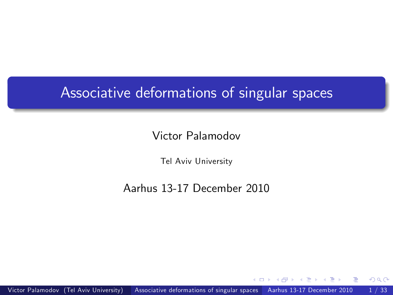### Associative deformations of singular spaces

#### Victor Palamodov

Tel Aviv University

#### Aarhus 13-17 December 2010

<span id="page-0-0"></span> $QQ$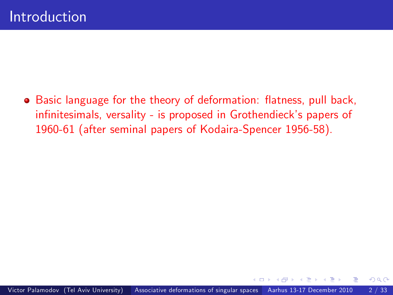• Basic language for the theory of deformation: flatness, pull back, infinitesimals, versality - is proposed in Grothendieck's papers of 1960-61 (after seminal papers of Kodaira-Spencer 1956-58).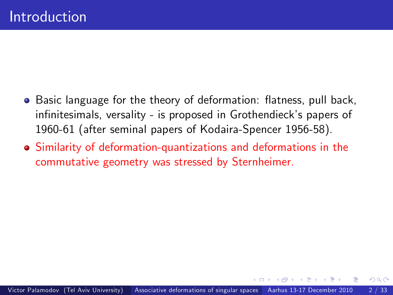- **•** Basic language for the theory of deformation: flatness, pull back, infinitesimals, versality - is proposed in Grothendieck's papers of 1960-61 (after seminal papers of Kodaira-Spencer 1956-58).
- Similarity of deformation-quantizations and deformations in the commutative geometry was stressed by Sternheimer.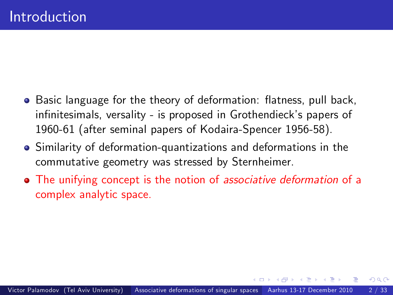- **•** Basic language for the theory of deformation: flatness, pull back, infinitesimals, versality - is proposed in Grothendieck's papers of 1960-61 (after seminal papers of Kodaira-Spencer 1956-58).
- Similarity of deformation-quantizations and deformations in the commutative geometry was stressed by Sternheimer.
- The unifying concept is the notion of associative deformation of a complex analytic space.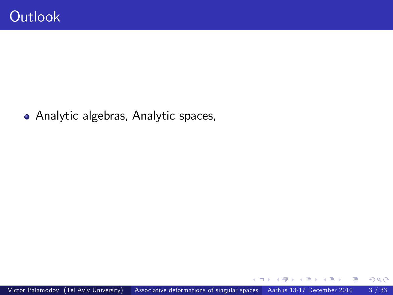Analytic algebras, Analytic spaces,

 $\Box$ 

 $299$ 

э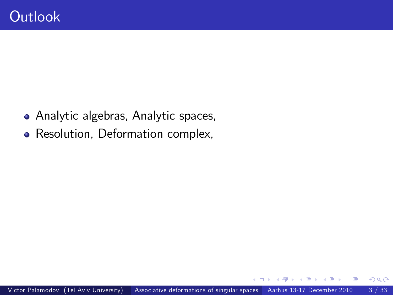- Analytic algebras, Analytic spaces,
- Resolution, Deformation complex,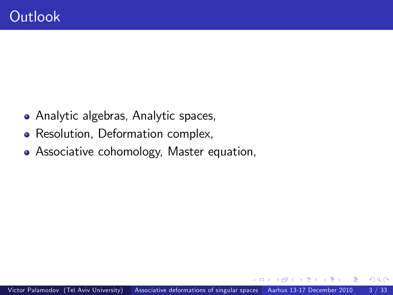- Analytic algebras, Analytic spaces,
- Resolution, Deformation complex,
- Associative cohomology, Master equation,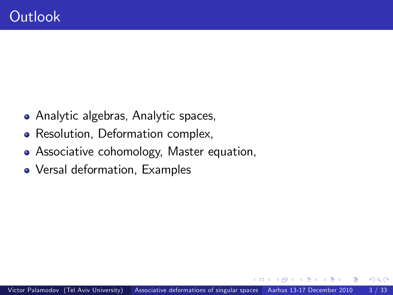- Analytic algebras, Analytic spaces,
- Resolution, Deformation complex,
- Associative cohomology, Master equation,
- Versal deformation, Examples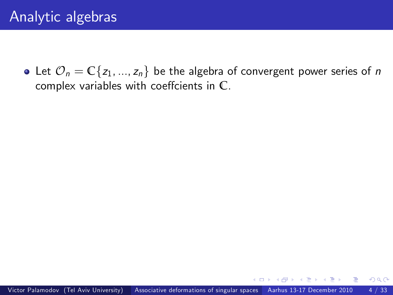• Let  $\mathcal{O}_n = \mathbb{C}\{z_1, ..., z_n\}$  be the algebra of convergent power series of n complex variables with coeffcients in  $\mathbb{C}$ .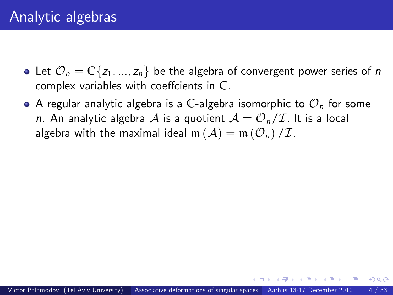- Let  $\mathcal{O}_n = \mathbb{C}\{z_1, ..., z_n\}$  be the algebra of convergent power series of n complex variables with coeffcients in  $\mathbb{C}$ .
- $\bullet$  A regular analytic algebra is a C-algebra isomorphic to  $\mathcal{O}_n$  for some n. An analytic algebra  $\mathcal A$  is a quotient  $\mathcal A = \mathcal O_n/\mathcal I$ . It is a local algebra with the maximal ideal  $m(\mathcal{A}) = m(\mathcal{O}_n)/\mathcal{I}$ .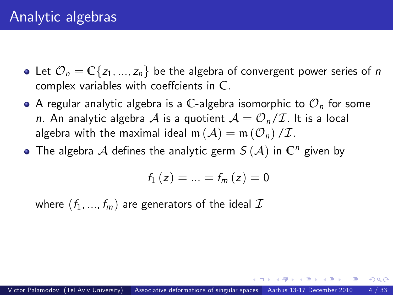- Let  $\mathcal{O}_n = \mathbb{C}\{z_1, ..., z_n\}$  be the algebra of convergent power series of n complex variables with coeffcients in  $\mathbb{C}$ .
- $\bullet$  A regular analytic algebra is a C-algebra isomorphic to  $\mathcal{O}_n$  for some n. An analytic algebra A is a quotient  $A = \mathcal{O}_n/\mathcal{I}$ . It is a local algebra with the maximal ideal  $m(\mathcal{A}) = m(\mathcal{O}_n)/\mathcal{I}$ .
- The algebra  $A$  defines the analytic germ  $S(A)$  in  $\mathbb{C}^n$  given by

$$
f_{1}\left( z\right) =...=f_{m}\left( z\right) =0
$$

where  $(f_1, ..., f_m)$  are generators of the ideal  $\mathcal I$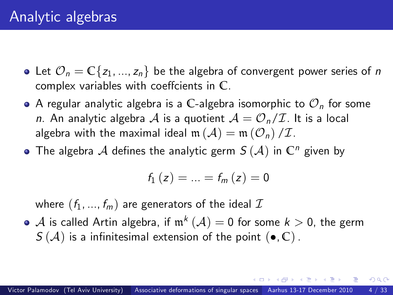- Let  $\mathcal{O}_n = \mathbb{C}\{z_1, ..., z_n\}$  be the algebra of convergent power series of n complex variables with coeffcients in  $\mathbb{C}$ .
- $\bullet$  A regular analytic algebra is a C-algebra isomorphic to  $\mathcal{O}_n$  for some n. An analytic algebra A is a quotient  $A = \mathcal{O}_n/\mathcal{I}$ . It is a local algebra with the maximal ideal  $m(\mathcal{A}) = m(\mathcal{O}_n)/\mathcal{I}$ .
- The algebra  $A$  defines the analytic germ  $S(A)$  in  $\mathbb{C}^n$  given by

$$
f_{1}\left( z\right) =...=f_{m}\left( z\right) =0
$$

where  $(f_1, ..., f_m)$  are generators of the ideal  $\mathcal I$ 

 $\mathcal A$  is called Artin algebra, if  $\mathfrak m^k\left(\mathcal A\right)=0$  for some  $k>0,$  the germ  $S(\mathcal{A})$  is a infinitesimal extension of the point  $(\bullet, \mathbb{C})$ .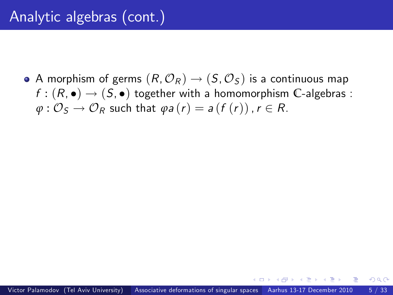• A morphism of germs  $(R, \mathcal{O}_R) \rightarrow (S, \mathcal{O}_S)$  is a continuous map  $f : (R, \bullet) \to (S, \bullet)$  together with a homomorphism C-algebras :  $\varphi$ :  $\mathcal{O}_S \rightarrow \mathcal{O}_R$  such that  $\varphi$ *a* (*r*) = *a* (*f* (*r*)), *r*  $\in$  *R*.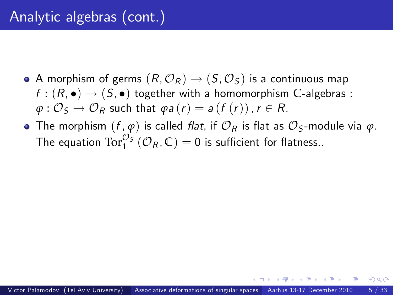- A morphism of germs  $(R, \mathcal{O}_R) \rightarrow (S, \mathcal{O}_S)$  is a continuous map  $f : (R, \bullet) \to (S, \bullet)$  together with a homomorphism C-algebras :  $\varphi: \mathcal{O}_S \to \mathcal{O}_R$  such that  $\varphi a(r) = a(f(r))$ ,  $r \in R$ .
- The morphism  $(f, \varphi)$  is called *flat*, if  $\mathcal{O}_R$  is flat as  $\mathcal{O}_S$ -module via  $\varphi$ . The equation  $\text{Tor}_{1}^{\mathcal{O}_{S}}\left(\mathcal{O}_{R}, \mathbb{C}\right) = 0$  is sufficient for flatness..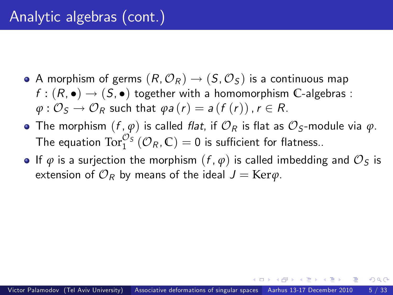- A morphism of germs  $(R, \mathcal{O}_R) \rightarrow (S, \mathcal{O}_S)$  is a continuous map  $f : (R, \bullet) \to (S, \bullet)$  together with a homomorphism C-algebras :  $\varphi: \mathcal{O}_S \to \mathcal{O}_R$  such that  $\varphi a(r) = a(f(r))$ ,  $r \in R$ .
- The morphism  $(f, \varphi)$  is called *flat*, if  $\mathcal{O}_R$  is flat as  $\mathcal{O}_S$ -module via  $\varphi$ . The equation  $\text{Tor}_{1}^{\mathcal{O}_{S}}\left(\mathcal{O}_{R}, \mathbb{C}\right) = 0$  is sufficient for flatness..
- **•** If  $\varphi$  is a surjection the morphism  $(f, \varphi)$  is called imbedding and  $\mathcal{O}_S$  is extension of  $\mathcal{O}_R$  by means of the ideal  $J = \text{Ker}\varphi$ .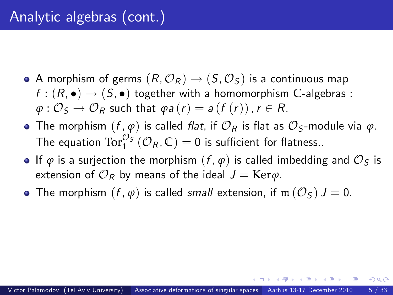- A morphism of germs  $(R, \mathcal{O}_R) \rightarrow (S, \mathcal{O}_S)$  is a continuous map  $f : (R, \bullet) \to (S, \bullet)$  together with a homomorphism C-algebras :  $\varphi: \mathcal{O}_S \to \mathcal{O}_R$  such that  $\varphi a(r) = a(f(r))$ ,  $r \in R$ .
- The morphism  $(f, \varphi)$  is called *flat*, if  $\mathcal{O}_R$  is flat as  $\mathcal{O}_S$ -module via  $\varphi$ . The equation  $\text{Tor}_{1}^{\mathcal{O}_{S}}\left(\mathcal{O}_{R}, \mathbb{C}\right) = 0$  is sufficient for flatness..
- **•** If  $\varphi$  is a surjection the morphism  $(f, \varphi)$  is called imbedding and  $\mathcal{O}_S$  is extension of  $\mathcal{O}_R$  by means of the ideal  $J = \text{Ker}\varphi$ .
- The morphism  $(f, \varphi)$  is called small extension, if  $m(\mathcal{O}_S)$   $J = 0$ .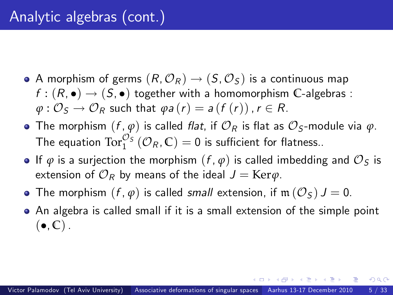- A morphism of germs  $(R, \mathcal{O}_R) \rightarrow (S, \mathcal{O}_S)$  is a continuous map  $f : (R, \bullet) \to (S, \bullet)$  together with a homomorphism C-algebras :  $\varphi: \mathcal{O}_S \to \mathcal{O}_R$  such that  $\varphi a(r) = a(f(r))$ ,  $r \in R$ .
- The morphism  $(f, \varphi)$  is called *flat*, if  $\mathcal{O}_R$  is flat as  $\mathcal{O}_S$ -module via  $\varphi$ . The equation  $\text{Tor}_{1}^{\mathcal{O}_{S}}\left(\mathcal{O}_{R}, \mathbb{C}\right) = 0$  is sufficient for flatness..
- **•** If  $\varphi$  is a surjection the morphism  $(f, \varphi)$  is called imbedding and  $\mathcal{O}_S$  is extension of  $\mathcal{O}_R$  by means of the ideal  $J = \text{Ker}\varphi$ .
- The morphism  $(f, \varphi)$  is called small extension, if  $\mathfrak{m}(\mathcal{O}_S)$   $J = 0$ .
- An algebra is called small if it is a small extension of the simple point  $(\bullet, \mathbb{C})$ .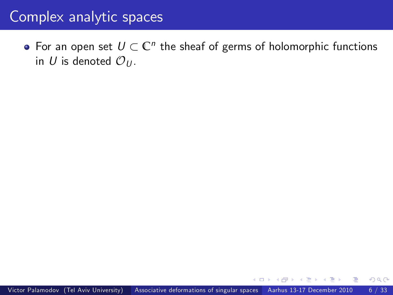For an open set  $U \subset \mathbb{C}^n$  the sheaf of germs of holomorphic functions in U is denoted  $\mathcal{O}_{U}$ .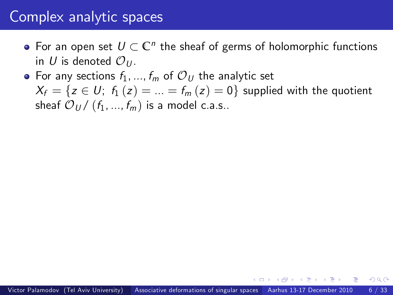- For an open set  $U \subset \mathbb{C}^n$  the sheaf of germs of holomorphic functions in U is denoted  $\mathcal{O}_{U}$ .
- For any sections  $f_1, ..., f_m$  of  $\mathcal{O}_U$  the analytic set  $X_f = \{z \in U; f_1(z) = ... = f_m(z) = 0\}$  supplied with the quotient sheaf  $\mathcal{O}_U / (f_1, ..., f_m)$  is a model c.a.s..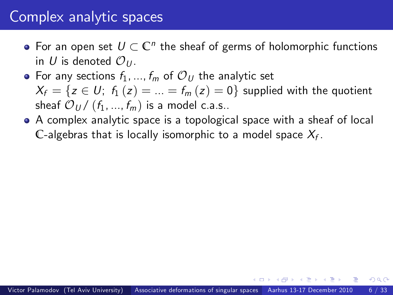- For an open set  $U \subset \mathbb{C}^n$  the sheaf of germs of holomorphic functions in U is denoted  $\mathcal{O}_{U}$ .
- For any sections  $f_1, ..., f_m$  of  $\mathcal{O}_U$  the analytic set  $X_f = \{z \in U; f_1(z) = ... = f_m(z) = 0\}$  supplied with the quotient sheaf  $\mathcal{O}_U / (f_1, ..., f_m)$  is a model c.a.s..
- A complex analytic space is a topological space with a sheaf of local  $\mathbb C$ -algebras that is locally isomorphic to a model space  $\mathcal X_f$ .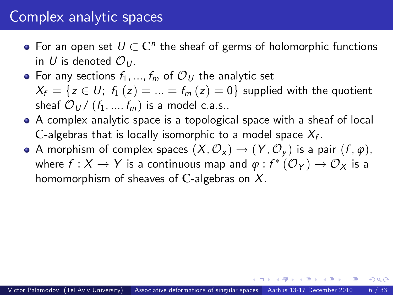- For an open set  $U \subset \mathbb{C}^n$  the sheaf of germs of holomorphic functions in U is denoted  $\mathcal{O}_U$ .
- For any sections  $f_1, ..., f_m$  of  $\mathcal{O}_U$  the analytic set  $X_f = \{z \in U; f_1(z) = ... = f_m(z) = 0\}$  supplied with the quotient sheaf  $\mathcal{O}_U / (f_1, ..., f_m)$  is a model c.a.s..
- A complex analytic space is a topological space with a sheaf of local  $\mathbb C$ -algebras that is locally isomorphic to a model space  $\mathcal X_f$ .
- A morphism of complex spaces  $(X, \mathcal{O}_X) \to (Y, \mathcal{O}_Y)$  is a pair  $(f, \varphi)$ , where  $f: X \to Y$  is a continuous map and  $\varphi: f^* \left( \mathcal{O}_Y \right) \to \mathcal{O}_X$  is a homomorphism of sheaves of **C**-algebras on X.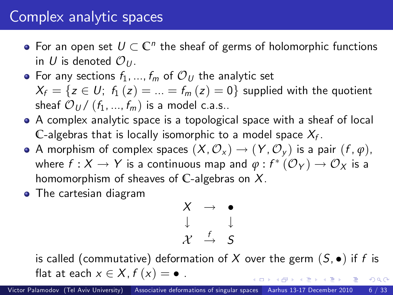- For an open set  $U \subset \mathbb{C}^n$  the sheaf of germs of holomorphic functions in U is denoted  $\mathcal{O}_U$ .
- For any sections  $f_1, ..., f_m$  of  $\mathcal{O}_U$  the analytic set  $X_f = \{z \in U; f_1(z) = ... = f_m(z) = 0\}$  supplied with the quotient sheaf  $\mathcal{O}_U / (f_1, ..., f_m)$  is a model c.a.s..
- A complex analytic space is a topological space with a sheaf of local  $\mathbb C$ -algebras that is locally isomorphic to a model space  $\mathcal X_f$ .
- A morphism of complex spaces  $(X, \mathcal{O}_X) \to (Y, \mathcal{O}_Y)$  is a pair  $(f, \varphi)$ , where  $f: X \to Y$  is a continuous map and  $\varphi: f^* \left( \mathcal{O}_Y \right) \to \mathcal{O}_X$  is a homomorphism of sheaves of **C**-algebras on X.
- **•** The cartesian diagram

$$
\begin{array}{ccc}\nX & \to & \bullet \\
\downarrow & & \downarrow \\
\mathcal{X} & \xrightarrow{f} & S\n\end{array}
$$

is called (commutative) deformation of X over the germ  $(S, \bullet)$  if f is flat at each  $x \in X$ ,  $f(x) = \bullet$ .  $200$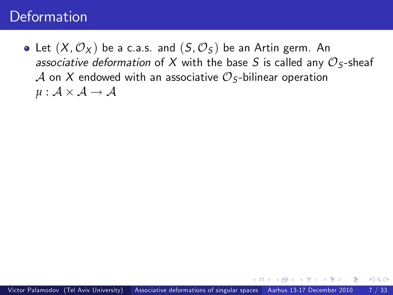• Let  $(X, \mathcal{O}_X)$  be a c.a.s. and  $(S, \mathcal{O}_S)$  be an Artin germ. An associative deformation of X with the base S is called any  $\mathcal{O}_\mathsf{S}\text{-sheaf}$ A on X endowed with an associative  $\mathcal{O}_S$ -bilinear operation  $\mu : \mathcal{A} \times \mathcal{A} \rightarrow \mathcal{A}$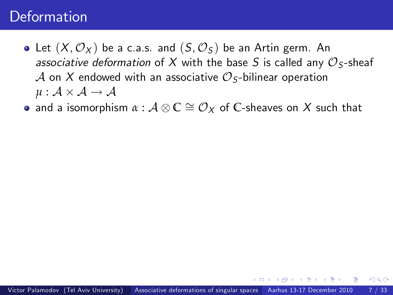- Let  $(X, \mathcal{O}_X)$  be a c.a.s. and  $(S, \mathcal{O}_S)$  be an Artin germ. An associative deformation of X with the base S is called any  $\mathcal{O}_\mathsf{S}\text{-sheaf}$ A on X endowed with an associative  $\mathcal{O}_S$ -bilinear operation  $\mu : \mathcal{A} \times \mathcal{A} \rightarrow \mathcal{A}$
- and a isomorphism  $\alpha : \mathcal{A} \otimes \mathbb{C} \cong \mathcal{O}_X$  of  $\mathbb{C}$ -sheaves on  $X$  such that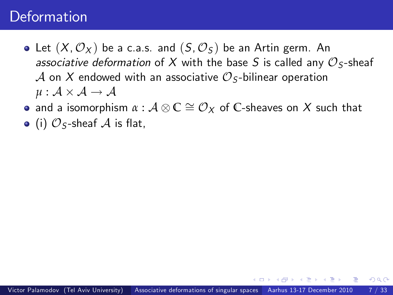- Let  $(X, \mathcal{O}_X)$  be a c.a.s. and  $(S, \mathcal{O}_S)$  be an Artin germ. An associative deformation of X with the base S is called any  $\mathcal{O}_\mathsf{S}\text{-sheaf}$ A on X endowed with an associative  $\mathcal{O}_S$ -bilinear operation  $\mu : \mathcal{A} \times \mathcal{A} \rightarrow \mathcal{A}$
- and a isomorphism  $\alpha : \mathcal{A} \otimes \mathbb{C} \cong \mathcal{O}_X$  of  $\mathbb{C}$ -sheaves on  $X$  such that
- $\bullet$  (i)  $\mathcal{O}_S$ -sheaf  $\mathcal A$  is flat,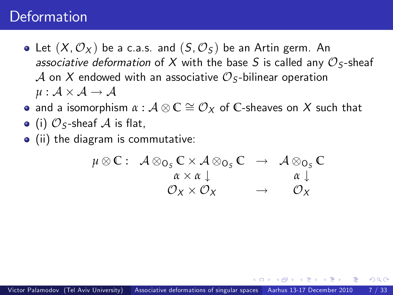- Let  $(X, \mathcal{O}_X)$  be a c.a.s. and  $(S, \mathcal{O}_S)$  be an Artin germ. An associative deformation of X with the base S is called any  $\mathcal{O}_{\mathsf{S}}$ -sheaf A on X endowed with an associative  $\mathcal{O}_S$ -bilinear operation  $\mu : \mathcal{A} \times \mathcal{A} \rightarrow \mathcal{A}$
- and a isomorphism  $\alpha : \mathcal{A} \otimes \mathbb{C} \cong \mathcal{O}_X$  of  $\mathbb{C}$ -sheaves on  $X$  such that
- $\bullet$  (i)  $\mathcal{O}_S$ -sheaf  $\mathcal A$  is flat,
- (ii) the diagram is commutative:

<span id="page-25-0"></span>
$$
\begin{array}{cccc}\n\mu \otimes \mathbb{C} : & \mathcal{A} \otimes_{\mathbb{O}_S} \mathbb{C} \times \mathcal{A} \otimes_{\mathbb{O}_S} \mathbb{C} & \to & \mathcal{A} \otimes_{\mathbb{O}_S} \mathbb{C} \\
& & \alpha \times \alpha \downarrow & & \alpha \downarrow \\
& & \mathcal{O}_X \times \mathcal{O}_X & \to & \mathcal{O}_X\n\end{array}
$$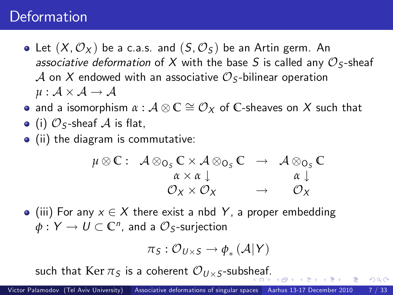- Let  $(X, \mathcal{O}_X)$  be a c.a.s. and  $(S, \mathcal{O}_S)$  be an Artin germ. An associative deformation of X with the base S is called any  $\mathcal{O}_{\mathsf{S}}$ -sheaf A on X endowed with an associative  $\mathcal{O}_S$ -bilinear operation  $\mu : \mathcal{A} \times \mathcal{A} \rightarrow \mathcal{A}$
- and a isomorphism  $\alpha : \mathcal{A} \otimes \mathbb{C} \cong \mathcal{O}_X$  of  $\mathbb{C}$ -sheaves on  $X$  such that
- $\bullet$  (i)  $\mathcal{O}_S$ -sheaf  $\mathcal A$  is flat,
- (ii) the diagram is commutative:

$$
\begin{array}{cccc}\n\mu \otimes \mathbb{C} : & \mathcal{A} \otimes_{\mathbb{O}_S} \mathbb{C} \times \mathcal{A} \otimes_{\mathbb{O}_S} \mathbb{C} & \to & \mathcal{A} \otimes_{\mathbb{O}_S} \mathbb{C} \\
& & \alpha \times \alpha \downarrow & & \alpha \downarrow \\
& & \mathcal{O}_X \times \mathcal{O}_X & \to & \mathcal{O}_X\n\end{array}
$$

 $\bullet$  (iii) For any  $x \in X$  there exist a nbd Y, a proper embedding  $\phi:Y\to U\subset\mathbb{C}^n$ , and a  $\mathcal{O}_S\text{-surjection}$ 

$$
\pi_S: \mathcal{O}_{U\times S}\to \phi_*\left(\mathcal{A}\middle| Y\right)
$$

 $200$ 

such that  $\operatorname{Ker} \pi_{\mathcal{S}}$  is a co[he](#page-25-0)rent  ${\mathcal{O}}_{U\times S}$ -subshea[f.](#page-27-0)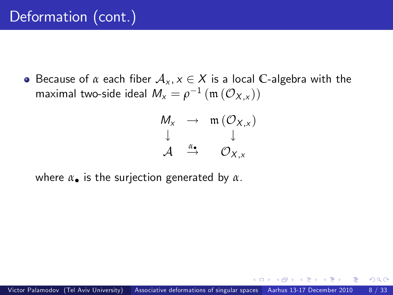# Deformation (cont.)

**•** Because of  $\alpha$  each fiber  $\mathcal{A}_{\chi}$ ,  $\chi \in \mathcal{X}$  is a local C-algebra with the maximal two-side ideal  $M_x = \rho^{-1}(\mathfrak{m}(\mathcal{O}_{X,x}))$ 

<span id="page-27-0"></span>
$$
\begin{array}{ccc}\nM_X & \to & \mathfrak{m}(\mathcal{O}_{X,x}) \\
\downarrow & & \downarrow \\
\mathcal{A} & \xrightarrow{\alpha_\bullet} & \mathcal{O}_{X,x}\n\end{array}
$$

where  $\alpha_{\bullet}$  is the surjection generated by  $\alpha$ .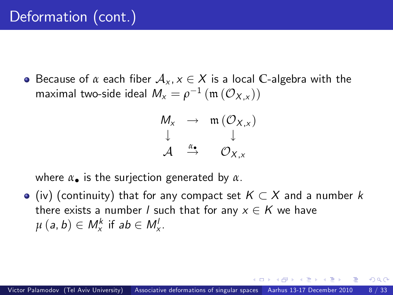**•** Because of  $\alpha$  each fiber  $\mathcal{A}_{x}$ ,  $x \in X$  is a local C-algebra with the maximal two-side ideal  $M_x = \rho^{-1}(\mathfrak{m}(\mathcal{O}_{X,x}))$ 

$$
\begin{array}{ccc}\nM_X & \to & \mathfrak{m}(\mathcal{O}_{X,x}) \\
\downarrow & & \downarrow \\
\mathcal{A} & \xrightarrow{\alpha_\bullet} & \mathcal{O}_{X,x}\n\end{array}
$$

where  $\alpha_{\bullet}$  is the surjection generated by  $\alpha$ .

 $\bullet$  (iv) (continuity) that for any compact set  $K \subset X$  and a number k there exists a number *l* such that for any  $x \in K$  we have  $\mu(a, b) \in M_x^k$  if  $ab \in M_x^l$ .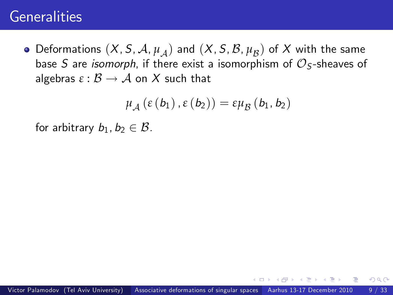# **Generalities**

Deformations  $(X, S, A, \mu_A)$  and  $(X, S, B, \mu_B)$  of  $X$  with the same base S are *isomorph*, if there exist a isomorphism of  $\mathcal{O}_\mathsf{S}$ -sheaves of algebras  $\varepsilon : \mathcal{B} \to \mathcal{A}$  on X such that

$$
\mu_{\mathcal{A}}\left(\varepsilon\left(b_{1}\right),\varepsilon\left(b_{2}\right)\right)=\varepsilon\mu_{\mathcal{B}}\left(b_{1},b_{2}\right)
$$

for arbitrary  $b_1, b_2 \in \mathcal{B}$ .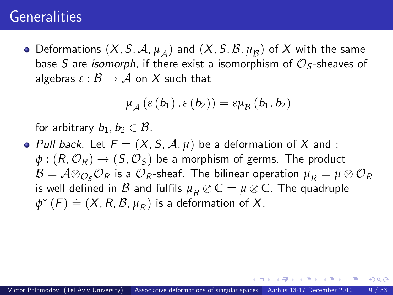### **Generalities**

Deformations  $(X, S, A, \mu_A)$  and  $(X, S, B, \mu_B)$  of  $X$  with the same base S are *isomorph*, if there exist a isomorphism of  $\mathcal{O}_\mathsf{S}$ -sheaves of algebras  $\varepsilon : \mathcal{B} \to \mathcal{A}$  on X such that

$$
\mu_{\mathcal{A}}\left(\varepsilon\left(b_{1}\right),\varepsilon\left(b_{2}\right)\right)=\varepsilon\mu_{\mathcal{B}}\left(b_{1},b_{2}\right)
$$

for arbitrary  $b_1, b_2 \in \mathcal{B}$ .

• Pull back. Let  $F = (X, S, A, \mu)$  be a deformation of X and :  $\phi$  :  $(R, \mathcal{O}_R) \rightarrow (S, \mathcal{O}_S)$  be a morphism of germs. The product  ${\cal B}={\cal A}\otimes_{{\cal O}_{S}}{\cal O}_{R}$  is a  ${\cal O}_{R}$ -sheaf. The bilinear operation  $\mu_{R}=\mu\otimes {\cal O}_{R}$ is well defined in  $B$  and fulfils  $\mu_R \otimes \mathbb{C} = \mu \otimes \mathbb{C}$ . The quadruple  $\phi^*(F) \doteq (X, R, \mathcal{B}, \mu_R)$  is a deformation of X.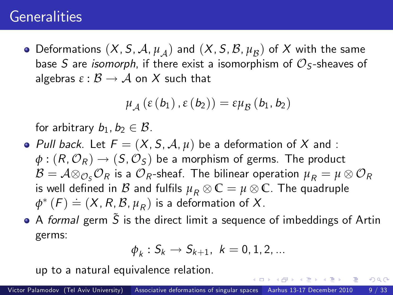# **Generalities**

Deformations  $(X, S, A, \mu_A)$  and  $(X, S, B, \mu_B)$  of  $X$  with the same base S are *isomorph*, if there exist a isomorphism of  $\mathcal{O}_\mathsf{S}$ -sheaves of algebras  $\varepsilon : \mathcal{B} \to \mathcal{A}$  on X such that

$$
\mu_{\mathcal{A}}\left(\varepsilon\left(b_{1}\right),\varepsilon\left(b_{2}\right)\right)=\varepsilon\mu_{\mathcal{B}}\left(b_{1},b_{2}\right)
$$

for arbitrary  $b_1, b_2 \in \mathcal{B}$ .

- Pull back. Let  $F = (X, S, A, \mu)$  be a deformation of X and :  $\phi$  :  $(R, \mathcal{O}_R) \rightarrow (S, \mathcal{O}_S)$  be a morphism of germs. The product  ${\cal B}={\cal A}\otimes_{{\cal O}_{S}}{\cal O}_{R}$  is a  ${\cal O}_{R}$ -sheaf. The bilinear operation  $\mu_{R}=\mu\otimes {\cal O}_{R}$ is well defined in  $B$  and fulfils  $\mu_R \otimes \mathbb{C} = \mu \otimes \mathbb{C}$ . The quadruple  $\phi^*(F) \doteq (X, R, B, \mu_R)$  is a deformation of X.
- $\bullet$  A formal germ  $\tilde{S}$  is the direct limit a sequence of imbeddings of Artin germs:

$$
\phi_k:S_k\to S_{k+1},\ k=0,1,2,\ldots
$$

 $200$ 

up to a natural equivalence relation.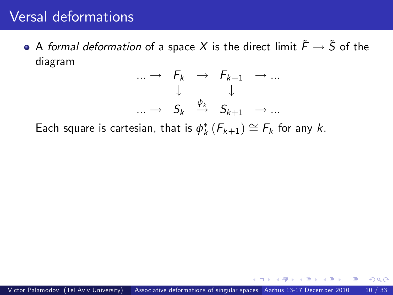$\bullet$  A formal deformation of a space X is the direct limit  $\tilde{F} \rightarrow \tilde{S}$  of the diagram



Each square is cartesian, that is  $\phi_k^*\left(F_{k+1}\right) \cong F_k$  for any  $k.$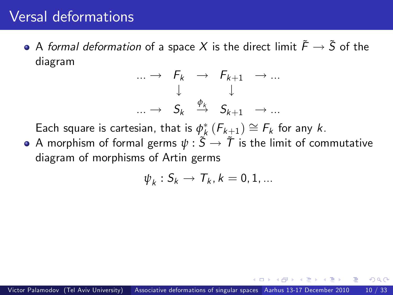$\bullet$  A formal deformation of a space X is the direct limit  $\tilde{F} \rightarrow \tilde{S}$  of the diagram

$$
\begin{array}{rcl}\n\cdots \rightarrow & F_k \rightarrow & F_{k+1} \rightarrow \cdots \\
\downarrow & & \downarrow \\
\cdots \rightarrow & S_k \stackrel{\phi_k}{\rightarrow} & S_{k+1} \rightarrow \cdots\n\end{array}
$$

Each square is cartesian, that is  $\phi^*_k\left(F_{k\pm1}\right)\cong F_k$  for any  $k.$ 

• A morphism of formal germs  $\psi : \tilde{S} \to \tilde{T}$  is the limit of commutative diagram of morphisms of Artin germs

$$
\psi_k: S_k \to T_k, k=0,1,...
$$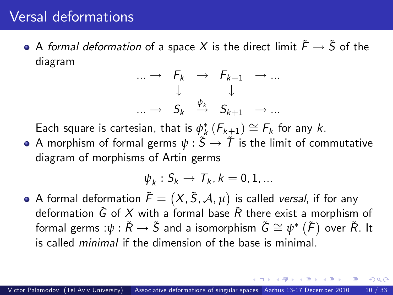$\bullet$  A formal deformation of a space X is the direct limit  $\tilde{F} \rightarrow \tilde{S}$  of the diagram

$$
\begin{array}{rcl}\n\cdots \rightarrow & F_k & \rightarrow & F_{k+1} & \rightarrow \dots \\
\downarrow & & \downarrow & \\
\cdots \rightarrow & S_k & \stackrel{\phi_k}{\rightarrow} & S_{k+1} & \rightarrow \dots\n\end{array}
$$

Each square is cartesian, that is  $\phi^*_k\left(F_{k\pm1}\right)\cong F_k$  for any  $k.$ 

• A morphism of formal germs  $\psi : \tilde{S} \to \tilde{T}$  is the limit of commutative diagram of morphisms of Artin germs

$$
\psi_k: S_k \to T_k, k=0,1,...
$$

A formal deformation  $\tilde{\mathcal{F}} = \big(X, \tilde{\mathcal{S}}, \mathcal{A}, \mu\big)$  is called *versal*, if for any deformation  $\tilde{G}$  of X with a formal base  $\tilde{R}$  there exist a morphism of formal germs  $:\psi:\tilde{R}\rightarrow \tilde{S}$  and a isomorphism  $\tilde{G}\cong \psi^*\left(\tilde{F}\right)$  over  $\tilde{R}.$  It is called minimal if the dimension of the base is minimal.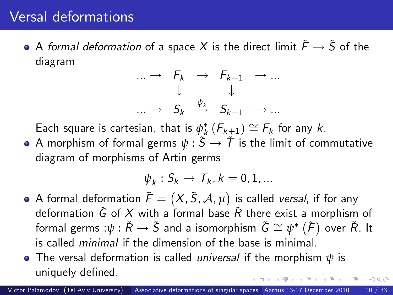$\bullet$  A formal deformation of a space X is the direct limit  $\tilde{F} \rightarrow \tilde{S}$  of the diagram

$$
\begin{array}{rcl}\n\cdots \rightarrow & F_k & \rightarrow & F_{k+1} & \rightarrow \dots \\
\downarrow & & \downarrow & \\
\cdots \rightarrow & S_k & \stackrel{\phi_k}{\rightarrow} & S_{k+1} & \rightarrow \dots\n\end{array}
$$

Each square is cartesian, that is  $\phi^*_k\left(F_{k\pm1}\right)\cong F_k$  for any  $k.$ 

• A morphism of formal germs  $\psi : \tilde{S} \to \tilde{T}$  is the limit of commutative diagram of morphisms of Artin germs

$$
\psi_k: S_k \to T_k, k=0,1,...
$$

- A formal deformation  $\tilde{\mathcal{F}} = \big(X, \tilde{\mathcal{S}}, \mathcal{A}, \mu\big)$  is called *versal*, if for any deformation  $\tilde{G}$  of X with a formal base  $\tilde{R}$  there exist a morphism of formal germs  $:\psi:\tilde{R}\rightarrow \tilde{S}$  and a isomorphism  $\tilde{G}\cong \psi^*\left(\tilde{F}\right)$  over  $\tilde{R}.$  It is called minimal if the dimension of the base is minimal.
- The versal deformation is called universal if the morphism *ψ* is uniquely defined.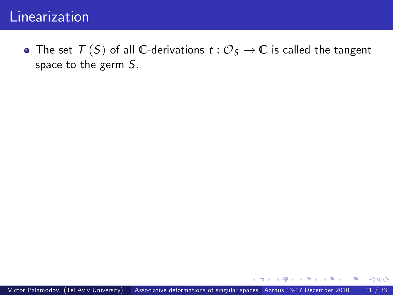#### Linearization

• The set  $T(S)$  of all C-derivations  $t: \mathcal{O}_S \to \mathbb{C}$  is called the tangent space to the germ S.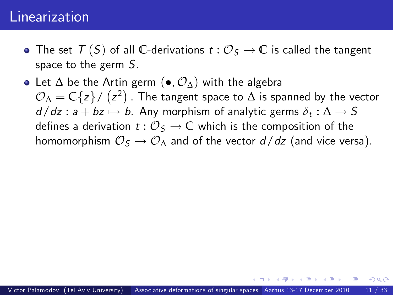#### Linearization

- The set  $T(S)$  of all C-derivations  $t: \mathcal{O}_S \to \mathbb{C}$  is called the tangent space to the germ S.
- Let  $\Delta$  be the Artin germ (•,  $\mathcal{O}_{\Lambda}$ ) with the algebra  $\mathcal{O}_\Delta = \mathbb{C}\{z\} / (z^2)$  . The tangent space to  $\Delta$  is spanned by the vector  $d/dz : a + bz \mapsto b$ . Any morphism of analytic germs  $\delta_t : \Delta \to S$ defines a derivation  $t : \mathcal{O}_S \to \mathbb{C}$  which is the composition of the homomorphism  $\mathcal{O}_S \to \mathcal{O}_\Lambda$  and of the vector  $d/dz$  (and vice versa).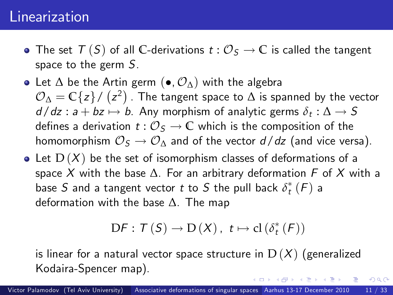#### Linearization

- The set  $T(S)$  of all C-derivations  $t: \mathcal{O}_S \to \mathbb{C}$  is called the tangent space to the germ S.
- Let  $\Delta$  be the Artin germ  $(\bullet, \mathcal{O}_{\Delta})$  with the algebra  $\mathcal{O}_\Delta = \mathbb{C}\{z\} / (z^2)$  . The tangent space to  $\Delta$  is spanned by the vector  $d/dz : a + bz \mapsto b$ . Any morphism of analytic germs  $\delta_t : \Delta \to S$ defines a derivation  $t : \mathcal{O}_S \to \mathbb{C}$  which is the composition of the homomorphism  $\mathcal{O}_S \to \mathcal{O}_\Lambda$  and of the vector  $d/dz$  (and vice versa).
- Let  $D(X)$  be the set of isomorphism classes of deformations of a space X with the base  $\Delta$ . For an arbitrary deformation F of X with a base  $S$  and a tangent vector  $t$  to  $S$  the pull back  $\delta_t^*\left(F\right)$  a deformation with the base  $\Delta$ . The map

$$
\mathrm{D}F:\mathcal{T}\left(\mathcal{S}\right)\to\mathrm{D}\left(X\right),\ t\mapsto\mathrm{cl}\left(\delta_{t}^{*}\left(\mathcal{F}\right)\right)
$$

 $200$ 

is linear for a natural vector space structure in  $D(X)$  (generalized Kodaira-Spencer map).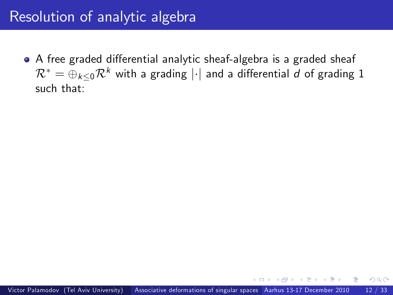### Resolution of analytic algebra

• A free graded differential analytic sheaf-algebra is a graded sheaf  $\mathcal{R}^* = \bigoplus_{k\leq 0} \mathcal{R}^k$  with a grading  $|\cdot|$  and a differential d of grading 1 such that: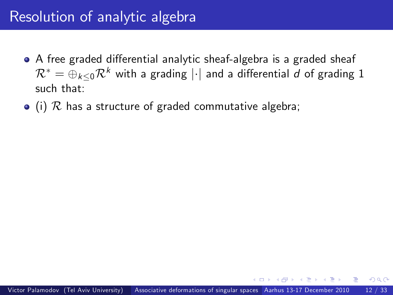### Resolution of analytic algebra

- A free graded differential analytic sheaf-algebra is a graded sheaf  $\mathcal{R}^* = \bigoplus_{k\leq 0} \mathcal{R}^k$  with a grading  $|\cdot|$  and a differential d of grading 1 such that:
- $\bullet$  (i)  $\mathcal R$  has a structure of graded commutative algebra;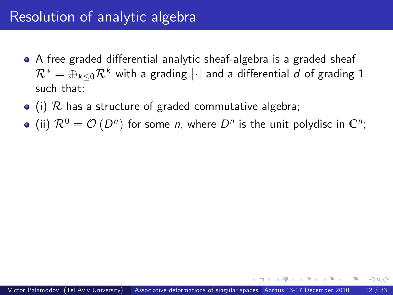### Resolution of analytic algebra

- A free graded differential analytic sheaf-algebra is a graded sheaf  $\mathcal{R}^* = \bigoplus_{k\leq 0} \mathcal{R}^k$  with a grading  $|\cdot|$  and a differential d of grading 1 such that:
- $\bullet$  (i)  $\mathcal R$  has a structure of graded commutative algebra;
- (ii)  $\mathcal{R}^0 = \mathcal{O}(D^n)$  for some *n*, where  $D^n$  is the unit polydisc in  $\mathbb{C}^n$ ;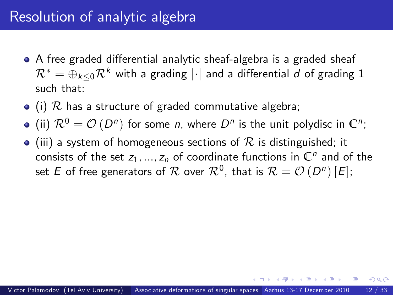- A free graded differential analytic sheaf-algebra is a graded sheaf  $\mathcal{R}^* = \bigoplus_{k\leq 0} \mathcal{R}^k$  with a grading  $|\cdot|$  and a differential d of grading 1 such that:
- $\bullet$  (i)  $\mathcal R$  has a structure of graded commutative algebra;
- (ii)  $\mathcal{R}^0 = \mathcal{O}(D^n)$  for some *n*, where  $D^n$  is the unit polydisc in  $\mathbb{C}^n$ ;
- $\bullet$  (iii) a system of homogeneous sections of R is distinguished; it consists of the set  $z_1, ..., z_n$  of coordinate functions in  $\mathbb{C}^n$  and of the set  $E$  of free generators of  $\mathcal R$  over  $\mathcal R^0$ , that is  $\mathcal R=\mathcal O\left(D^n\right)[E];$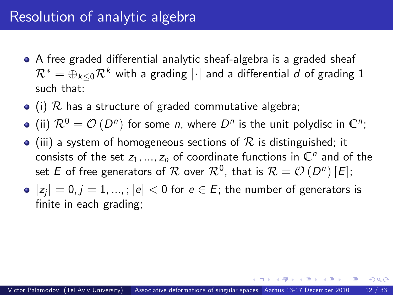- A free graded differential analytic sheaf-algebra is a graded sheaf  $\mathcal{R}^* = \bigoplus_{k\leq 0} \mathcal{R}^k$  with a grading  $|\cdot|$  and a differential d of grading 1 such that:
- $\bullet$  (i)  $\mathcal R$  has a structure of graded commutative algebra;
- (ii)  $\mathcal{R}^0 = \mathcal{O}(D^n)$  for some *n*, where  $D^n$  is the unit polydisc in  $\mathbb{C}^n$ ;
- $\bullet$  (iii) a system of homogeneous sections of R is distinguished; it consists of the set  $z_1, ..., z_n$  of coordinate functions in  $\mathbb{C}^n$  and of the set  $E$  of free generators of  $\mathcal R$  over  $\mathcal R^0$ , that is  $\mathcal R=\mathcal O\left(D^n\right)[E];$
- $|z_i| = 0, j = 1, ...,$ ;  $|e| < 0$  for  $e \in E$ ; the number of generators is finite in each grading;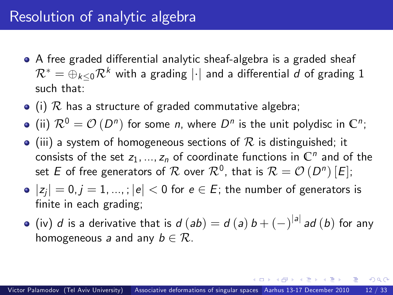- A free graded differential analytic sheaf-algebra is a graded sheaf  $\mathcal{R}^* = \bigoplus_{k\leq 0} \mathcal{R}^k$  with a grading  $|\cdot|$  and a differential d of grading 1 such that:
- $\bullet$  (i)  $\mathcal R$  has a structure of graded commutative algebra;

(ii)  $\mathcal{R}^0 = \mathcal{O}(D^n)$  for some *n*, where  $D^n$  is the unit polydisc in  $\mathbb{C}^n$ ;

- $\bullet$  (iii) a system of homogeneous sections of R is distinguished; it consists of the set  $z_1, ..., z_n$  of coordinate functions in  $\mathbb{C}^n$  and of the set  $E$  of free generators of  $\mathcal R$  over  $\mathcal R^0$ , that is  $\mathcal R=\mathcal O\left(D^n\right)[E];$
- $|z_i| = 0, j = 1, ...,$ ;  $|e| < 0$  for  $e \in E$ ; the number of generators is finite in each grading;
- (iv) d is a derivative that is  $d (ab) = d (a) b + (-)^{|a|} ad (b)$  for any homogeneous a and any  $b \in \mathcal{R}$ .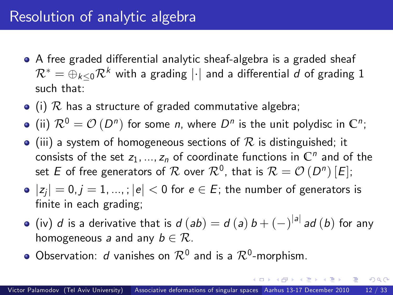- A free graded differential analytic sheaf-algebra is a graded sheaf  $\mathcal{R}^* = \bigoplus_{k\leq 0} \mathcal{R}^k$  with a grading  $|\cdot|$  and a differential d of grading 1 such that:
- $\bullet$  (i)  $\mathcal R$  has a structure of graded commutative algebra;

(ii)  $\mathcal{R}^0 = \mathcal{O}(D^n)$  for some *n*, where  $D^n$  is the unit polydisc in  $\mathbb{C}^n$ ;

- $\bullet$  (iii) a system of homogeneous sections of R is distinguished; it consists of the set  $z_1, ..., z_n$  of coordinate functions in  $\mathbb{C}^n$  and of the set  $E$  of free generators of  $\mathcal R$  over  $\mathcal R^0$ , that is  $\mathcal R=\mathcal O\left(D^n\right)[E];$
- $|z_i| = 0, j = 1, ...,$ ;  $|e| < 0$  for  $e \in E$ ; the number of generators is finite in each grading;
- (iv) d is a derivative that is  $d (ab) = d (a) b + (-)^{|a|} ad (b)$  for any homogeneous a and any  $b \in \mathcal{R}$ .
- Observation:  $d$  vanishes on  $\mathcal{R}^0$  and is a  $\mathcal{R}^0$ -morphism.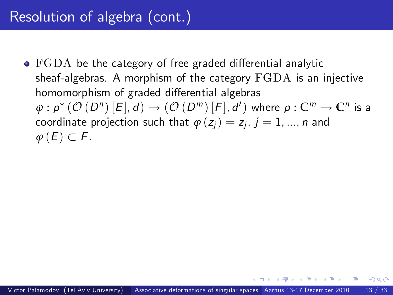# Resolution of algebra (cont.)

 $\bullet$  FGDA be the category of free graded differential analytic sheaf-algebras. A morphism of the category FGDA is an injective homomorphism of graded differential algebras  $\varphi: \rho^*\left(\mathcal{O}\left(D^n\right)[E], d\right) \rightarrow \left(\mathcal{O}\left(D^m\right)[F], d'\right)$  where  $\rho: \mathbb{C}^m \rightarrow \mathbb{C}^n$  is a coordinate projection such that  $\varphi\left( z_{j}\right) =z_{j}$ ,  $j=1,...,n$  and  $\varphi$  (E)  $\subset$  F.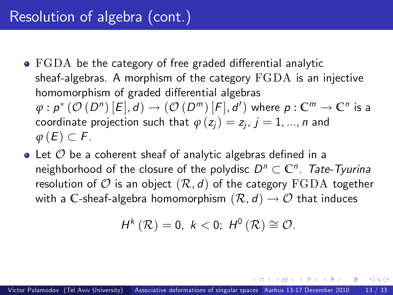# Resolution of algebra (cont.)

- $\bullet$  FGDA be the category of free graded differential analytic sheaf-algebras. A morphism of the category FGDA is an injective homomorphism of graded differential algebras  $\varphi: \rho^*\left(\mathcal{O}\left(D^n\right)[E], d\right) \rightarrow \left(\mathcal{O}\left(D^m\right)[F], d'\right)$  where  $\rho: \mathbb{C}^m \rightarrow \mathbb{C}^n$  is a coordinate projection such that  $\varphi\left( z_{j}\right) =z_{j}$ ,  $j=1,...,n$  and  $\varphi$  (E)  $\subset$  F.
- $\bullet$  Let  $\mathcal O$  be a coherent sheaf of analytic algebras defined in a neighborhood of the closure of the polydisc  $D^n \subset \mathbb{C}^n$ . Tate-Tyurina resolution of  $\mathcal O$  is an object  $(\mathcal R, d)$  of the category  $\operatorname{FGDA}$  together with a C-sheaf-algebra homomorphism  $(\mathcal{R}, d) \rightarrow \mathcal{O}$  that induces

$$
H^{k}(\mathcal{R})=0, k<0; H^{0}(\mathcal{R})\cong \mathcal{O}.
$$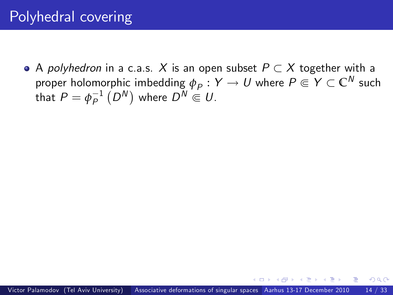## Polyhedral covering

 $\bullet$  A *polyhedron* in a c.a.s. X is an open subset  $P \subset X$  together with a proper holomorphic imbedding  $\phi_P : Y \to U$  where  $P \Subset Y \subset \mathbb{C}^N$  such that  $P=\phi_P^{-1}\left(D^N\right)$  where  $D^N\Subset U.$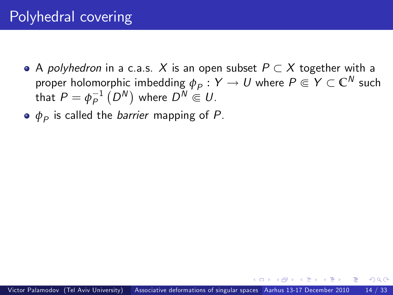- A polyhedron in a c.a.s. X is an open subset  $P \subset X$  together with a proper holomorphic imbedding  $\phi_P : Y \to U$  where  $P \Subset Y \subset \mathbb{C}^N$  such that  $P=\phi_P^{-1}\left(D^N\right)$  where  $D^N\Subset U.$
- $\phi_{\rho}$  is called the *barrier* mapping of  $P$ .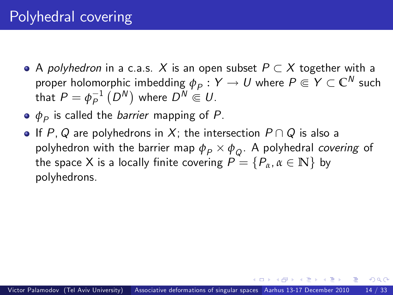- $\bullet$  A *polyhedron* in a c.a.s. X is an open subset  $P \subset X$  together with a proper holomorphic imbedding  $\phi_P : Y \to U$  where  $P \Subset Y \subset \mathbb{C}^N$  such that  $P=\phi_P^{-1}\left(D^N\right)$  where  $D^N\Subset U.$
- $\phi_{\rho}$  is called the *barrier* mapping of  $P$ .
- If P, Q are polyhedrons in X; the intersection  $P \cap Q$  is also a polyhedron with the barrier map  $\phi_P \times \phi_Q$ . A polyhedral *covering* of the space X is a locally finite covering  $P = \{P_\alpha, \alpha \in \mathbb{N}\}\$  by polyhedrons.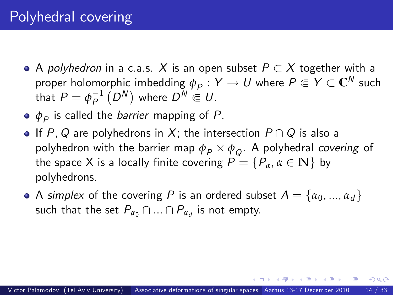- $\bullet$  A *polyhedron* in a c.a.s. X is an open subset  $P \subset X$  together with a proper holomorphic imbedding  $\phi_P : Y \to U$  where  $P \Subset Y \subset \mathbb{C}^N$  such that  $P=\phi_P^{-1}\left(D^N\right)$  where  $D^N\Subset U.$
- $\phi_{\rho}$  is called the *barrier* mapping of  $P$ .
- If P, Q are polyhedrons in X; the intersection  $P \cap Q$  is also a polyhedron with the barrier map  $\phi_P \times \phi_Q$ . A polyhedral *covering* of the space X is a locally finite covering  $P = \{P_\alpha, \alpha \in \mathbb{N}\}\;$  by polyhedrons.
- A simplex of the covering P is an ordered subset  $A = \{\alpha_0, ..., \alpha_d\}$ such that the set  $P_{\alpha_0} \cap ... \cap P_{\alpha_d}$  is not empty.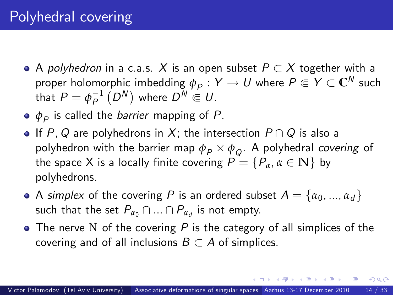- $\bullet$  A *polyhedron* in a c.a.s. X is an open subset  $P \subset X$  together with a proper holomorphic imbedding  $\phi_P : Y \to U$  where  $P \Subset Y \subset \mathbb{C}^N$  such that  $P=\phi_P^{-1}\left(D^N\right)$  where  $D^N\Subset U.$
- $\phi_{\rho}$  is called the *barrier* mapping of  $P$ .
- If P, Q are polyhedrons in X; the intersection  $P \cap Q$  is also a polyhedron with the barrier map  $\phi_P \times \phi_Q$ . A polyhedral *covering* of the space X is a locally finite covering  $P = \{P_\alpha, \alpha \in \mathbb{N}\}\;$  by polyhedrons.
- A simplex of the covering P is an ordered subset  $A = \{\alpha_0, ..., \alpha_d\}$ such that the set  $P_{\alpha_0} \cap ... \cap P_{\alpha_d}$  is not empty.
- $\bullet$  The nerve N of the covering P is the category of all simplices of the covering and of all inclusions  $B \subset A$  of simplices.

<span id="page-52-0"></span>化重新润滑脂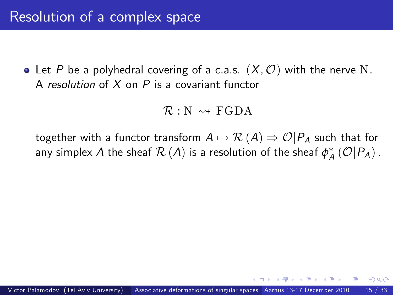• Let P be a polyhedral covering of a c.a.s.  $(X, \mathcal{O})$  with the nerve N. A resolution of  $X$  on  $P$  is a covariant functor

<span id="page-53-0"></span>
$$
\mathcal{R}: \mathbb{N} \rightsquigarrow \text{FGDA}
$$

together with a functor transform  $A \mapsto \mathcal{R}(A) \Rightarrow \mathcal{O}|P_A$  such that for any simplex  $A$  the sheaf  $\mathcal{R}\left(A\right)$  is a resolution of the sheaf  $\phi_{A}^{*}\left(\mathcal{O}|P_{A}\right)$  .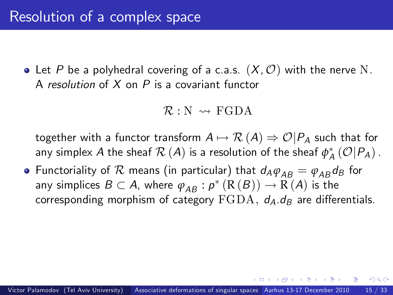• Let P be a polyhedral covering of a c.a.s.  $(X, \mathcal{O})$  with the nerve N. A resolution of  $X$  on  $P$  is a covariant functor

$$
\mathcal{R}: \mathbb{N} \rightsquigarrow \text{FGDA}
$$

together with a functor transform  $A \mapsto \mathcal{R}(A) \Rightarrow \mathcal{O}|P_A$  such that for any simplex  $A$  the sheaf  $\mathcal{R}\left(A\right)$  is a resolution of the sheaf  $\phi_{A}^{*}\left(\mathcal{O}|P_{A}\right)$  .

• Functoriality of  $R$  means (in particular) that  $d_A \varphi_{AB} = \varphi_{AB} d_B$  for any simplices  $B\subset A$ , where  $\varphi_{AB}:p^*\left(\mathrm{R}\left( B\right)\right)\to\mathrm{R}\left( A\right)$  is the corresponding morphism of category  $FGDA$ ,  $d_A$ ,  $d_B$  are differentials.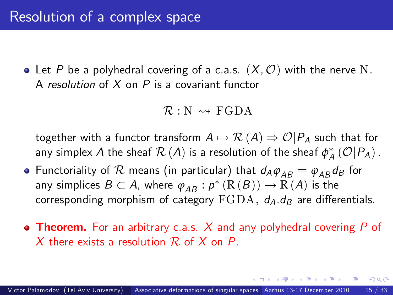• Let P be a polyhedral covering of a c.a.s.  $(X, \mathcal{O})$  with the nerve N. A resolution of  $X$  on  $P$  is a covariant functor

<span id="page-55-0"></span>
$$
\mathcal{R}: \mathbb{N} \rightsquigarrow \text{FGDA}
$$

together with a functor transform  $A \mapsto \mathcal{R}(A) \Rightarrow \mathcal{O}|P_A$  such that for any simplex  $A$  the sheaf  $\mathcal{R}\left(A\right)$  is a resolution of the sheaf  $\phi_{A}^{*}\left(\mathcal{O}|P_{A}\right)$  .

- Functoriality of  $R$  means (in particular) that  $d_A \varphi_{AB} = \varphi_{AB} d_B$  for any simplices  $B\subset A$ , where  $\varphi_{AB}:p^*\left(\mathrm{R}\left( B\right)\right)\to\mathrm{R}\left( A\right)$  is the corresponding morphism of category  $FGDA$ ,  $d_A$   $d_B$  are differentials.
- **Theorem.** For an arbitrary c.a.s.  $X$  and any polyhedral covering  $P$  of X there exists a resolution  $\mathcal R$  of X on P.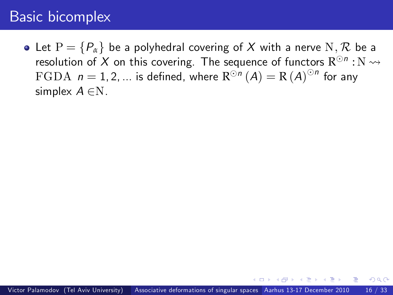<span id="page-56-0"></span>• Let  $P = \{P_\alpha\}$  be a polyhedral covering of X with a nerve N, R be a resolution of  $X$  on this covering. The sequence of functors  $\mathrm{R}^{\odot n}:\mathrm{N} \leadsto$  $\mathrm{FGDA}$   $\,n=1,2,...\,$  is defined, where  $\mathrm{R}^{\odot n}\left(A\right)=\mathrm{R}\left(A\right)^{\odot n}$  for any simplex  $A \in N$ .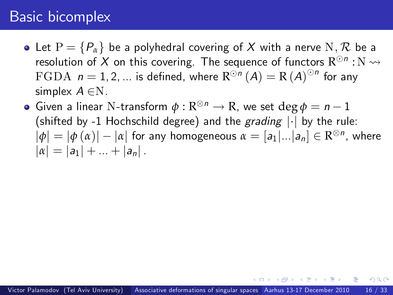- Let  $P = \{P_\alpha\}$  be a polyhedral covering of X with a nerve N, R be a resolution of  $X$  on this covering. The sequence of functors  $\mathrm{R}^{\odot n}:\mathrm{N} \leadsto$  $\mathrm{FGDA}$   $\,n=1,2,...\,$  is defined, where  $\mathrm{R}^{\odot n}\left(A\right)=\mathrm{R}\left(A\right)^{\odot n}$  for any simplex  $A \in N$ .
- Given a linear N-transform  $\phi : \mathbb{R}^{\otimes n} \to \mathbb{R}$ , we set  $\deg \phi = n 1$ (shifted by -1 Hochschild degree) and the grading  $|\cdot|$  by the rule:  $|\phi| = |\phi(\alpha)| - |\alpha|$  for any homogeneous  $\alpha = [a_1|...|a_n] \in \mathbb{R}^{\otimes n}$ , where  $|\alpha| = |a_1| + ... + |a_n|$ .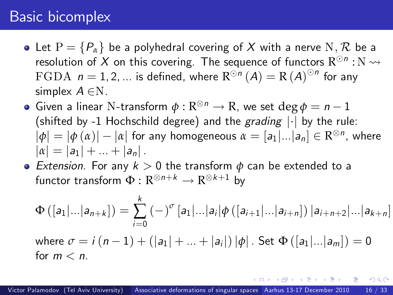- Let  $P = \{P_\alpha\}$  be a polyhedral covering of X with a nerve N, R be a resolution of  $X$  on this covering. The sequence of functors  $\mathrm{R}^{\odot n}:\mathrm{N} \leadsto$  $\mathrm{FGDA}$   $\,n=1,2,...\,$  is defined, where  $\mathrm{R}^{\odot n}\left(A\right)=\mathrm{R}\left(A\right)^{\odot n}$  for any simplex  $A \in N$ .
- Given a linear N-transform  $\phi : \mathbb{R}^{\otimes n} \to \mathbb{R}$ , we set  $\deg \phi = n 1$ (shifted by -1 Hochschild degree) and the grading  $|\cdot|$  by the rule:  $|\phi| = |\phi(\alpha)| - |\alpha|$  for any homogeneous  $\alpha = [a_1|...|a_n] \in \mathbb{R}^{\otimes n}$ , where  $|\alpha| = |a_1| + ... + |a_n|$ .
- Extension. For any  $k > 0$  the transform  $\phi$  can be extended to a functor transform  $\Phi: \mathbb{R}^{\otimes n+k} \to \mathbb{R}^{\otimes k+1}$  by

<span id="page-58-0"></span>
$$
\Phi([a_1|...|a_{n+k}]) = \sum_{i=0}^k (-)^{\sigma} [a_1|...|a_i] \phi([a_{i+1}|...|a_{i+n}]) |a_{i+n+2}|...|a_{k+n}]
$$
  
where  $\sigma = i (n-1) + (|a_1| + ... + |a_i|) |\phi|$ . Set  $\Phi([a_1|...|a_m]) = 0$   
for  $m < n$ .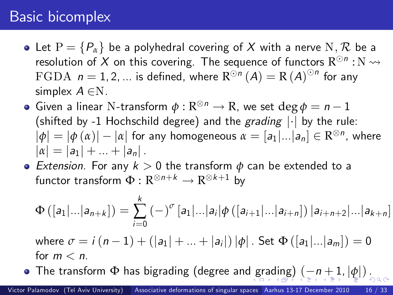- Let  $P = \{P_\alpha\}$  be a polyhedral covering of X with a nerve N, R be a resolution of  $X$  on this covering. The sequence of functors  $\mathrm{R}^{\odot n}:\mathrm{N} \leadsto$  $\mathrm{FGDA}$   $\,n=1,2,...\,$  is defined, where  $\mathrm{R}^{\odot n}\left(A\right)=\mathrm{R}\left(A\right)^{\odot n}$  for any simplex  $A \in N$ .
- Given a linear N-transform  $\phi : \mathbb{R}^{\otimes n} \to \mathbb{R}$ , we set  $\deg \phi = n 1$ (shifted by -1 Hochschild degree) and the grading  $|\cdot|$  by the rule:  $|\phi| = |\phi(\alpha)| - |\alpha|$  for any homogeneous  $\alpha = [a_1|...|a_n] \in \mathbb{R}^{\otimes n}$ , where  $|\alpha| = |a_1| + ... + |a_n|$ .
- Extension. For any  $k > 0$  the transform  $\phi$  can be extended to a functor transform  $\Phi: \mathbb{R}^{\otimes n+k} \to \mathbb{R}^{\otimes k+1}$  by

<span id="page-59-0"></span>
$$
\Phi\left([a_1|\dots|a_{n+k}]\right) = \sum_{i=0}^k (-)^{\sigma} [a_1|\dots|a_i] \phi\left([a_{i+1}|\dots|a_{i+n}]\right) |a_{i+n+2}|\dots|a_{k+n}]
$$
\nwhere  $\sigma = i(n-1) + (|a_1| + \dots + |a_i|) |\phi|$ . Set  $\Phi([a_1|\dots|a_m]) = 0$  for  $m < n$ .  
\n• The transform  $\Phi$  has bigrading (degree and grading)  $\left(-n+1, |\phi|\right)_{n \geq 0}$ .

Victor Palamodov (Tel Aviv University) [Associative deformations of singular spaces](#page-0-0) Aarhus 13-17 December 2010 16 / 33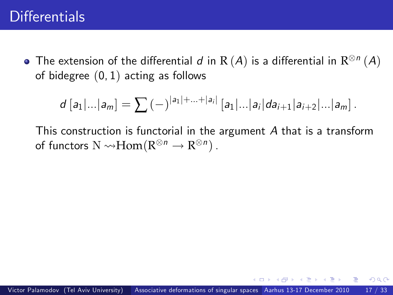The extension of the differential  $d$  in  ${\rm R}\,(\overline{A})$  is a differential in  ${\rm R}^{\otimes n}\,(\overline{A})$ of bidegree  $(0, 1)$  acting as follows

<span id="page-60-0"></span>
$$
d [a_1|...|a_m] = \sum_{i=1}^n (-)^{|a_1|+...+|a_i|} [a_1|...|a_i| da_{i+1} |a_{i+2}|...|a_m].
$$

This construction is functorial in the argument A that is a transform of functors  $N \rightarrow Hom(R^{\otimes n} \rightarrow R^{\otimes n})$  .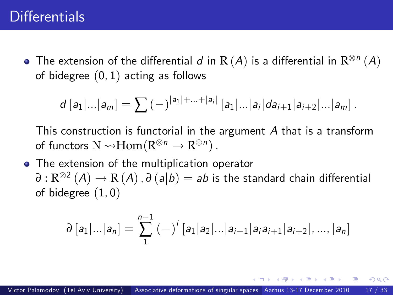The extension of the differential  $d$  in  ${\rm R}\,(\overline{A})$  is a differential in  ${\rm R}^{\otimes n}\,(\overline{A})$ of bidegree (0, 1) acting as follows

$$
d [a_1|...|a_m] = \sum_{i=1}^n (-)^{|a_1|+...+|a_i|} [a_1|...|a_i| da_{i+1} |a_{i+2}|...|a_m].
$$

This construction is functorial in the argument A that is a transform of functors  $N \rightarrow Hom(R^{\otimes n} \rightarrow R^{\otimes n})$  .

• The extension of the multiplication operator  $\partial : \mathrm{R}^{\otimes 2} \, (A) \rightarrow \mathrm{R} \, (A)$  ,  $\partial \, (a|b) = ab$  is the standard chain differential of bidegree (1, 0)

$$
\partial [a_1|...|a_n] = \sum_{1}^{n-1} (-)^{i} [a_1|a_2|...|a_{i-1}|a_ia_{i+1}|a_{i+2}|,...,|a_n]
$$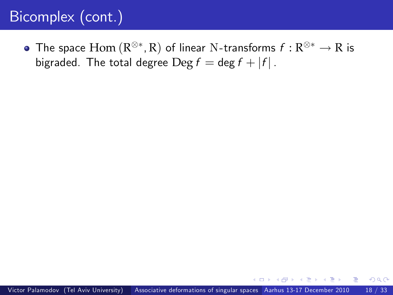# Bicomplex (cont.)

The space  $\mathrm{Hom}\left(\mathrm{R}^{\otimes *},\mathrm{R}\right)$  of linear N-transforms  $f:\mathrm{R}^{\otimes *}\to\mathrm{R}$  is bigraded. The total degree  $\text{Deg } f = \text{deg } f + |f|$ .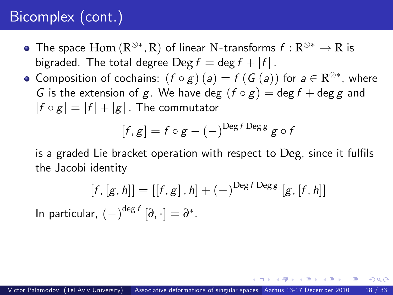# Bicomplex (cont.)

- The space  $\mathrm{Hom}\left(\mathrm{R}^{\otimes *},\mathrm{R}\right)$  of linear N-transforms  $f:\mathrm{R}^{\otimes *}\to\mathrm{R}$  is bigraded. The total degree  $\text{Deg } f = \text{deg } f + |f|$ .
- Composition of cochains:  $(f \circ g)(a) = f(G(a))$  for  $a \in \mathbb{R}^{\otimes *}$ , where G is the extension of g. We have deg  $(f \circ g) = \deg f + \deg g$  and  $|f \circ g| = |f| + |g|$ . The commutator

$$
[f,g] = f \circ g - (-)^{\text{Deg } f \text{ Deg } g} g \circ f
$$

is a graded Lie bracket operation with respect to Deg, since it fulfils the Jacobi identity

$$
[f, [g, h]] = [[f, g], h] + (-)^{\text{Deg } f \text{ Deg } g} [g, [f, h]]
$$
  
In particular, 
$$
(-)^{\text{deg } f} [\partial, \cdot] = \partial^*.
$$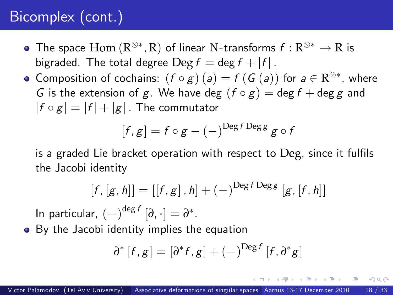# Bicomplex (cont.)

- The space  $\mathrm{Hom}\left(\mathrm{R}^{\otimes *},\mathrm{R}\right)$  of linear N-transforms  $f:\mathrm{R}^{\otimes *}\to\mathrm{R}$  is bigraded. The total degree  $\text{Deg } f = \text{deg } f + |f|$ .
- Composition of cochains:  $(f \circ g)(a) = f(G(a))$  for  $a \in \mathbb{R}^{\otimes *}$ , where G is the extension of g. We have deg  $(f \circ g) = \deg f + \deg g$  and  $|f \circ g| = |f| + |g|$ . The commutator

$$
[f,g] = f \circ g - (-)^{\text{Deg } f \text{ Deg } g} g \circ f
$$

is a graded Lie bracket operation with respect to Deg, since it fulfils the Jacobi identity

$$
[f,[g,h]] = [[f,g],h] + (-)^{\text{Deg } f \text{ Deg } g} [g,[f,h]]
$$

In particular,  $(-)^{\deg f} [\partial, \cdot] = \partial^*$ .

• By the Jacobi identity implies the equation

$$
\partial^* [f,g] = [\partial^* f,g] + (-)^{\text{Deg }f}[f,\partial^* g]
$$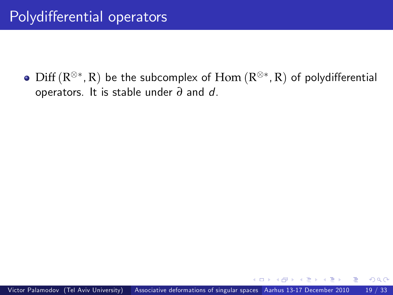$\mathrm{Diff}\left(\mathrm{R}^{\otimes *},\mathrm{R}\right)$  be the subcomplex of  $\mathrm{Hom}\left(\mathrm{R}^{\otimes *},\mathrm{R}\right)$  of polydifferential operators. It is stable under *∂* and d.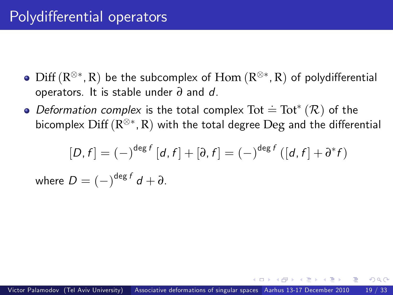- $\mathrm{Diff}\left(\mathrm{R}^{\otimes *},\mathrm{R}\right)$  be the subcomplex of  $\mathrm{Hom}\left(\mathrm{R}^{\otimes *},\mathrm{R}\right)$  of polydifferential operators. It is stable under *∂* and d.
- Deformation complex is the total complex  $\text{Tot}^*(\mathcal{R})$  of the bicomplex  $\mathrm{Diff}\left(\mathrm{R}^{\otimes *},\mathrm{R}\right)$  with the total degree  $\mathrm{Deg}$  and the differential

$$
[D, f] = (-\int^{\deg f} [d, f] + [\partial, f] = (-\int^{\deg f} ([d, f] + \partial^* f])
$$

where  $D = (-)^{\deg f} d + \partial$ .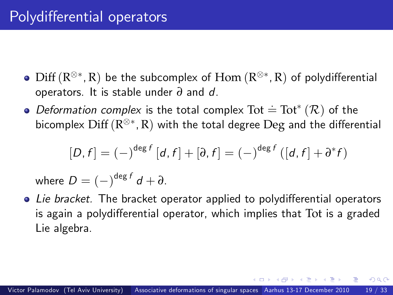- $\mathrm{Diff}\left(\mathrm{R}^{\otimes *},\mathrm{R}\right)$  be the subcomplex of  $\mathrm{Hom}\left(\mathrm{R}^{\otimes *},\mathrm{R}\right)$  of polydifferential operators. It is stable under *∂* and d.
- Deformation complex is the total complex  $\text{Tot}^*(\mathcal{R})$  of the bicomplex  $\mathrm{Diff}\left(\mathrm{R}^{\otimes *},\mathrm{R}\right)$  with the total degree  $\mathrm{Deg}$  and the differential

<span id="page-67-0"></span>
$$
[D, f] = (-)^{\deg f} [d, f] + [\partial, f] = (-)^{\deg f} ([d, f] + \partial^* f)
$$

where  $D = (-)^{\deg f} d + \partial$ .

 $\bullet$  Lie bracket. The bracket operator applied to polydifferential operators is again a polydifferential operator, which implies that Tot is a graded Lie algebra.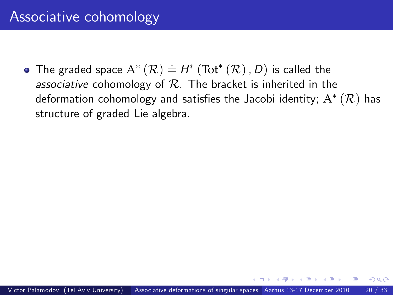<span id="page-68-0"></span>The graded space  $A^*(\mathcal{R}) = H^*(\text{Tot}^*(\mathcal{R}), D)$  is called the associative cohomology of  $R$ . The bracket is inherited in the deformation cohomology and satisfies the Jacobi identity;  $\mathrm{A}^{*}\left(\mathcal{R}\right)$  has structure of graded Lie algebra.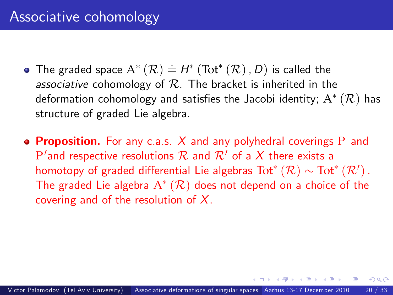- The graded space  $A^*(\mathcal{R}) = H^*(\text{Tot}^*(\mathcal{R}), D)$  is called the associative cohomology of  $R$ . The bracket is inherited in the deformation cohomology and satisfies the Jacobi identity;  $\mathrm{A}^{*}\left(\mathcal{R}\right)$  has structure of graded Lie algebra.
- **Proposition.** For any c.a.s. X and any polyhedral coverings P and  $P'$  and respective resolutions  $R$  and  $R'$  of a  $X$  there exists a homotopy of graded differential Lie algebras  $\mathrm{Tot}^*(\mathcal{R}) \sim \mathrm{Tot}^*(\mathcal{R}')$  . The graded Lie algebra  $A^*(\mathcal{R})$  does not depend on a choice of the covering and of the resolution of  $X$ .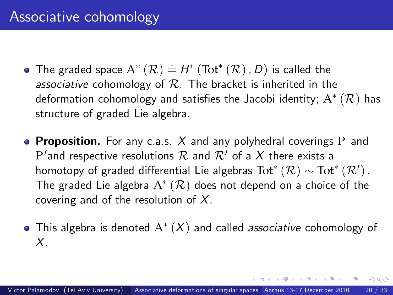- The graded space  $A^*(\mathcal{R}) = H^*(\text{Tot}^*(\mathcal{R}), D)$  is called the associative cohomology of  $R$ . The bracket is inherited in the deformation cohomology and satisfies the Jacobi identity;  $\mathrm{A}^{*}\left(\mathcal{R}\right)$  has structure of graded Lie algebra.
- **Proposition.** For any c.a.s. X and any polyhedral coverings P and  $\mathrm{P}'$  and respective resolutions  $\mathcal R$  and  $\mathcal R'$  of a  $X$  there exists a homotopy of graded differential Lie algebras  $\mathrm{Tot}^*(\mathcal{R}) \sim \mathrm{Tot}^*(\mathcal{R}^\prime)$  . The graded Lie algebra  $\mathrm{A}^*(\mathcal{R})$  does not depend on a choice of the covering and of the resolution of  $X$ .
- This algebra is denoted  $\mathrm{A}^*(X)$  and called *associative* cohomology of X.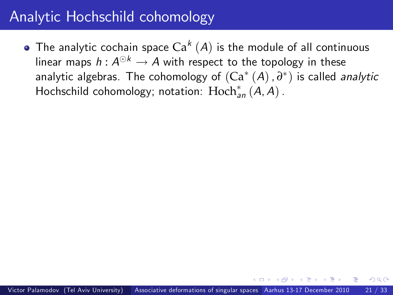# Analytic Hochschild cohomology

The analytic cochain space  $\mathsf{Ca}^{k}\left( A\right)$  is the module of all continuous linear maps  $h: A^{\odot k} \to A$  with respect to the topology in these analytic algebras. The cohomology of  $({\rm Ca}^*\,{}(A)$  ,  $\partial^*)$  is called *analytic* Hochschild cohomology; notation:  $\text{Hoch}^*_{\mathsf{a}n}(A, A)$ .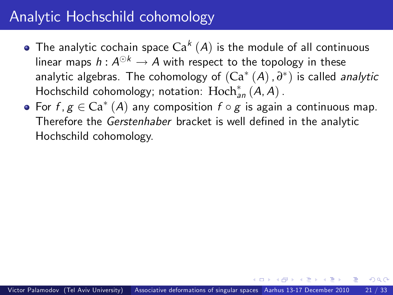- The analytic cochain space  $\mathsf{Ca}^{k}\left( A\right)$  is the module of all continuous linear maps  $h: A^{\odot k} \to A$  with respect to the topology in these analytic algebras. The cohomology of  $({\rm Ca}^*\,{}(A)$  ,  $\partial^*)$  is called *analytic* Hochschild cohomology; notation:  $\text{Hoch}^*_{\mathsf{a}n}(A, A)$ .
- For  $f, g \in \mathrm{Ca}^* \left( A \right)$  any composition  $f \circ g$  is again a continuous map.<br>— Therefore the Gerstenhaber bracket is well defined in the analytic Hochschild cohomology.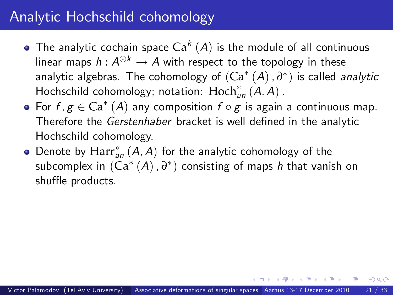- The analytic cochain space  $\mathsf{Ca}^{k}\left( A\right)$  is the module of all continuous linear maps  $h: A^{\odot k} \to A$  with respect to the topology in these analytic algebras. The cohomology of  $({\rm Ca}^*\,{}(A)$  ,  $\partial^*)$  is called *analytic* Hochschild cohomology; notation:  $\text{Hoch}^*_{\mathsf{a}n}(A, A)$ .
- For  $f, g \in \mathrm{Ca}^* \left( A \right)$  any composition  $f \circ g$  is again a continuous map.<br>— Therefore the Gerstenhaber bracket is well defined in the analytic Hochschild cohomology.
- Denote by  $\mathrm{Harr}^*_{\mathsf{an}}(A,A)$  for the analytic cohomology of the subcomplex in  $({\rm Ca}^*\,({\cal A})$  ,  $\partial^*)$  consisting of maps  $h$  that vanish on shuffle products.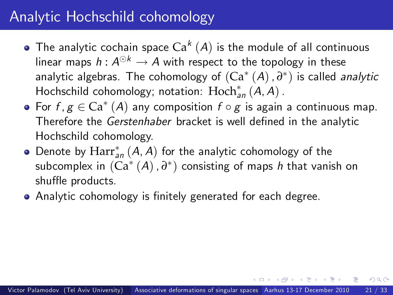- The analytic cochain space  $\mathsf{Ca}^{k}\left( A\right)$  is the module of all continuous linear maps  $h: A^{\odot k} \to A$  with respect to the topology in these analytic algebras. The cohomology of  $({\rm Ca}^*\,{}(A)$  ,  $\partial^*)$  is called *analytic* Hochschild cohomology; notation:  $\text{Hoch}^*_{\mathsf{a}n}(A, A)$ .
- For  $f, g \in \mathrm{Ca}^* \left( A \right)$  any composition  $f \circ g$  is again a continuous map.<br>— Therefore the Gerstenhaber bracket is well defined in the analytic Hochschild cohomology.
- Denote by  $\mathrm{Harr}^*_{\mathsf{an}}(A,A)$  for the analytic cohomology of the subcomplex in  $({\rm Ca}^*\,({\cal A})$  ,  $\partial^*)$  consisting of maps  $h$  that vanish on shuffle products.
- Analytic cohomology is finitely generated for each degree.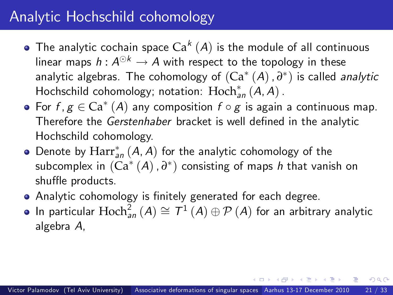- The analytic cochain space  $\mathsf{Ca}^{k}\left( A\right)$  is the module of all continuous linear maps  $h: A^{\odot k} \to A$  with respect to the topology in these analytic algebras. The cohomology of  $({\rm Ca}^*\,{}(A)$  ,  $\partial^*)$  is called *analytic* Hochschild cohomology; notation:  $\text{Hoch}^*_{\mathsf{a}n}(A, A)$ .
- For  $f, g \in \mathrm{Ca}^* \left( A \right)$  any composition  $f \circ g$  is again a continuous map.<br>— Therefore the Gerstenhaber bracket is well defined in the analytic Hochschild cohomology.
- Denote by  $\mathrm{Harr}^*_{\mathsf{an}}(A,A)$  for the analytic cohomology of the subcomplex in  $({\rm Ca}^*\,({\cal A})$  ,  $\partial^*)$  consisting of maps  $h$  that vanish on shuffle products.
- Analytic cohomology is finitely generated for each degree.
- <span id="page-75-0"></span>In particular  $\text{Hoch}^2_{\textit{an}}\left(A\right) \cong \mathcal{T}^1\left(A\right) \oplus \mathcal{P}\left(A\right)$  for an arbitrary analytic algebra A,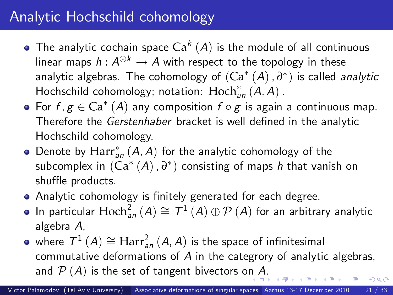- The analytic cochain space  $\mathsf{Ca}^{k}\left( A\right)$  is the module of all continuous linear maps  $h: A^{\odot k} \to A$  with respect to the topology in these analytic algebras. The cohomology of  $({\rm Ca}^*\,{}(A)$  ,  $\partial^*)$  is called *analytic* Hochschild cohomology; notation:  $\text{Hoch}^*_{\mathsf{a}n}(A, A)$ .
- For  $f, g \in \mathrm{Ca}^* \left( A \right)$  any composition  $f \circ g$  is again a continuous map.<br>— Therefore the Gerstenhaber bracket is well defined in the analytic Hochschild cohomology.
- Denote by  $\mathrm{Harr}^*_{\mathsf{an}}(A,A)$  for the analytic cohomology of the subcomplex in  $({\rm Ca}^*\,({\cal A})$  ,  $\partial^*)$  consisting of maps  $h$  that vanish on shuffle products.
- Analytic cohomology is finitely generated for each degree.
- In particular  $\text{Hoch}^2_{\textit{an}}\left(A\right) \cong \mathcal{T}^1\left(A\right) \oplus \mathcal{P}\left(A\right)$  for an arbitrary analytic algebra A,
- where  $\mathcal{T}^{1}\left( \mathcal{A}\right) \cong\text{Harr}_{an}^{2}\left( \mathcal{A},\mathcal{A}\right)$  is the space of infinitesimal commutative deformations of A in the categrory of analytic algebras, a[n](#page-75-0)d  $\mathcal{P}(A)$  is the set of tangent bivectors on A[.](#page-77-0)  $\Omega$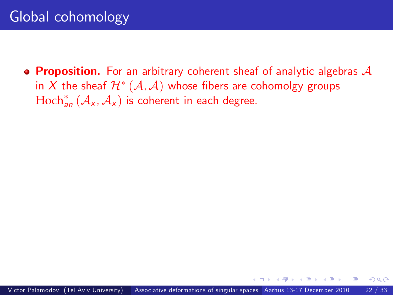<span id="page-77-0"></span>**• Proposition.** For an arbitrary coherent sheaf of analytic algebras  $\mathcal A$ in  $X$  the sheaf  $\mathcal{H}^{*}\left(\mathcal{A},\mathcal{A}\right)$  whose fibers are cohomolgy groups  $\text{Hoch}^*_{\mathsf{an}}\left(\mathcal{A}_\mathsf{x}, \mathcal{A}_\mathsf{x}\right)$  is coherent in each degree.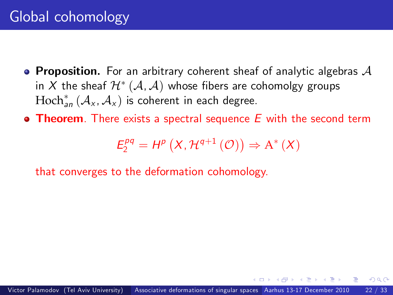- **Proposition.** For an arbitrary coherent sheaf of analytic algebras  $\mathcal A$ in  $X$  the sheaf  $\mathcal{H}^{*}\left(\mathcal{A},\mathcal{A}\right)$  whose fibers are cohomolgy groups  $\text{Hoch}^*_{\textit{an}}\left(\mathcal{A}_\text{x}, \mathcal{A}_\text{x}\right)$  is coherent in each degree.
- **Theorem**. There exists a spectral sequence  $E$  with the second term

$$
E_2^{pq} = H^p(X, \mathcal{H}^{q+1}(\mathcal{O})) \Rightarrow A^*(X)
$$

that converges to the deformation cohomology.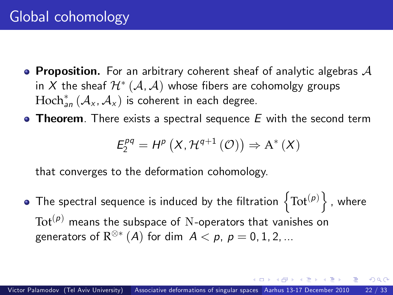- **Proposition.** For an arbitrary coherent sheaf of analytic algebras  $\mathcal A$ in  $X$  the sheaf  $\mathcal{H}^{*}\left(\mathcal{A},\mathcal{A}\right)$  whose fibers are cohomolgy groups  $\text{Hoch}^*_{\textit{an}}\left(\mathcal{A}_\text{x}, \mathcal{A}_\text{x}\right)$  is coherent in each degree.
- $\bullet$  Theorem. There exists a spectral sequence  $E$  with the second term

<span id="page-79-0"></span>
$$
E_2^{pq} = H^p(X, \mathcal{H}^{q+1}(\mathcal{O})) \Rightarrow A^*(X)
$$

that converges to the deformation cohomology.

The spectral sequence is induced by the filtration  $\left\{\text{Tot}^{(\rho)}\right\}$  , where  $Tot<sup>(p)</sup>$  means the subspace of N-operators that vanishes on generators of  $\mathrm{R}^{\otimes *} \left( A \right)$  for dim  $\ A < \rho,\ p = 0,1,2,...$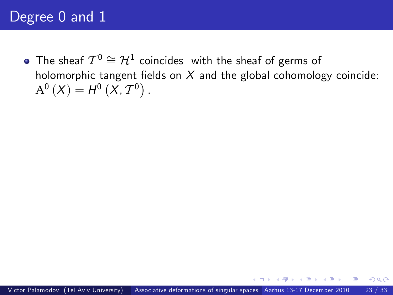<span id="page-80-0"></span>The sheaf  $\mathcal{T}^0\cong\mathcal{H}^1$  coincides with the sheaf of germs of holomorphic tangent fields on  $X$  and the global cohomology coincide:  $A^{0}(X) = H^{0}(X, T^{0}).$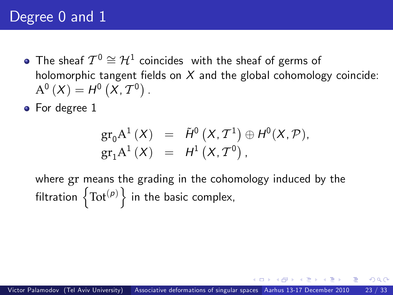- The sheaf  $\mathcal{T}^0\cong\mathcal{H}^1$  coincides with the sheaf of germs of holomorphic tangent fields on  $X$  and the global cohomology coincide:  $A^{0}(X) = H^{0}(X, T^{0}).$
- For degree 1

$$
gr_0 A^1(X) = \tilde{H}^0(X, \mathcal{T}^1) \oplus H^0(X, \mathcal{P}),
$$
  
\n
$$
gr_1 A^1(X) = H^1(X, \mathcal{T}^0),
$$

where gr means the grading in the cohomology induced by the filtration  $\left\{\text{Tot}^{(p)}\right\}$  in the basic complex,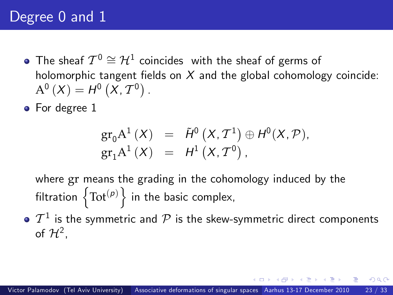- The sheaf  $\mathcal{T}^0\cong\mathcal{H}^1$  coincides with the sheaf of germs of holomorphic tangent fields on  $X$  and the global cohomology coincide:  $A^{0}(X) = H^{0}(X, T^{0}).$
- For degree 1

$$
gr_0 A^1(X) = \tilde{H}^0(X, \mathcal{T}^1) \oplus H^0(X, \mathcal{P}),
$$
  
\n
$$
gr_1 A^1(X) = H^1(X, \mathcal{T}^0),
$$

where gr means the grading in the cohomology induced by the filtration  $\left\{\text{Tot}^{(p)}\right\}$  in the basic complex,

 $\mathcal{T}^1$  is the symmetric and  $\mathcal P$  is the skew-symmetric direct components of  $\mathcal{H}^2$ ,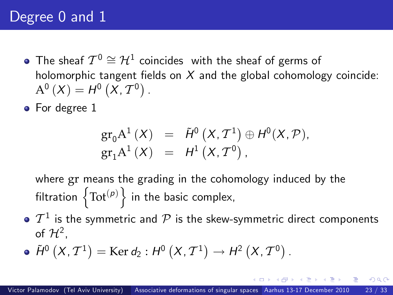- The sheaf  $\mathcal{T}^0\cong\mathcal{H}^1$  coincides with the sheaf of germs of holomorphic tangent fields on  $X$  and the global cohomology coincide:  $A^{0}(X) = H^{0}(X, T^{0}).$
- For degree 1

<span id="page-83-0"></span>
$$
gr_0 A^1(X) = \tilde{H}^0(X, T^1) \oplus H^0(X, \mathcal{P}),
$$
  
\n
$$
gr_1 A^1(X) = H^1(X, T^0),
$$

where gr means the grading in the cohomology induced by the filtration  $\left\{\text{Tot}^{(p)}\right\}$  in the basic complex,

- $\mathcal{T}^1$  is the symmetric and  $\mathcal P$  is the skew-symmetric direct components of  $\mathcal{H}^2$ ,
- $\tilde{H}^{0}\left(X,T^{1}\right)=\mathrm{Ker} d_{2}: H^{0}\left(X,T^{1}\right)\rightarrow H^{2}\left(X,T^{0}\right).$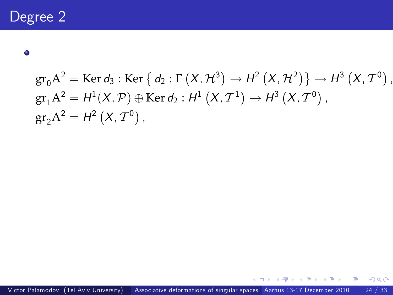$\bullet$ 

$$
gr_0 A^2 = \text{Ker } d_3: \text{Ker } \{ d_2: \Gamma(X, \mathcal{H}^3) \to \mathcal{H}^2(X, \mathcal{H}^2) \} \to \mathcal{H}^3(X, \mathcal{T}^0),
$$
  
\n
$$
gr_1 A^2 = \mathcal{H}^1(X, \mathcal{P}) \oplus \text{Ker } d_2: \mathcal{H}^1(X, \mathcal{T}^1) \to \mathcal{H}^3(X, \mathcal{T}^0),
$$
  
\n
$$
gr_2 A^2 = \mathcal{H}^2(X, \mathcal{T}^0),
$$

イロト イ部 トイヨ トイヨト

<span id="page-84-0"></span>Ε.  $2990$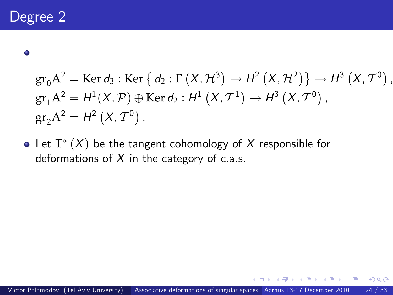$\bullet$ 

$$
gr_0 A^2 = \text{Ker } d_3: \text{Ker } \{ d_2: \Gamma(X, \mathcal{H}^3) \to \mathcal{H}^2(X, \mathcal{H}^2) \} \to \mathcal{H}^3(X, \mathcal{T}^0),
$$
  
\n
$$
gr_1 A^2 = \mathcal{H}^1(X, \mathcal{P}) \oplus \text{Ker } d_2: \mathcal{H}^1(X, \mathcal{T}^1) \to \mathcal{H}^3(X, \mathcal{T}^0),
$$
  
\n
$$
gr_2 A^2 = \mathcal{H}^2(X, \mathcal{T}^0),
$$

Let  $\mathrm{T}^*(X)$  be the tangent cohomology of  $X$  responsible for deformations of  $X$  in the category of c.a.s.

 $299$ 

79 N Y Y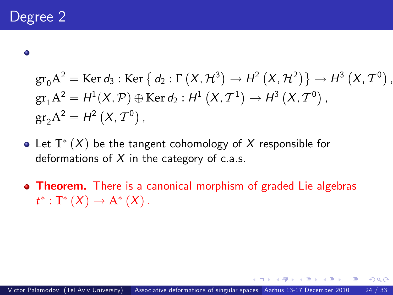$\bullet$ 

$$
gr_0 A^2 = \text{Ker } d_3: \text{Ker } \{ d_2: \Gamma(X, \mathcal{H}^3) \to \mathcal{H}^2(X, \mathcal{H}^2) \} \to \mathcal{H}^3(X, \mathcal{T}^0),
$$
  
\n
$$
gr_1 A^2 = \mathcal{H}^1(X, \mathcal{P}) \oplus \text{Ker } d_2: \mathcal{H}^1(X, \mathcal{T}^1) \to \mathcal{H}^3(X, \mathcal{T}^0),
$$
  
\n
$$
gr_2 A^2 = \mathcal{H}^2(X, \mathcal{T}^0),
$$

- Let  $\mathrm{T}^*(X)$  be the tangent cohomology of  $X$  responsible for deformations of  $X$  in the category of c.a.s.
- **Theorem.** There is a canonical morphism of graded Lie algebras  $t^*: T^*(X) \to A^*(X)$ .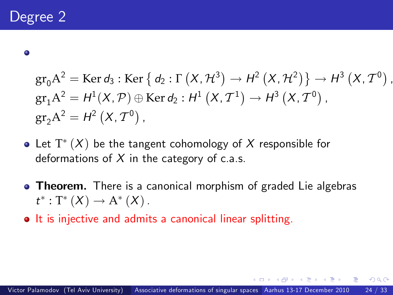$\bullet$ 

$$
gr_0 A^2 = \text{Ker } d_3: \text{Ker } \{ d_2: \Gamma(X, \mathcal{H}^3) \to \mathcal{H}^2(X, \mathcal{H}^2) \} \to \mathcal{H}^3(X, \mathcal{T}^0),
$$
  
\n
$$
gr_1 A^2 = \mathcal{H}^1(X, \mathcal{P}) \oplus \text{Ker } d_2: \mathcal{H}^1(X, \mathcal{T}^1) \to \mathcal{H}^3(X, \mathcal{T}^0),
$$
  
\n
$$
gr_2 A^2 = \mathcal{H}^2(X, \mathcal{T}^0),
$$

- Let  $\mathrm{T}^*(X)$  be the tangent cohomology of  $X$  responsible for deformations of  $X$  in the category of c.a.s.
- **Theorem.** There is a canonical morphism of graded Lie algebras  $t^*: T^*(X) \to A^*(X)$ .
- It is injective and admits a canonical linear splitting.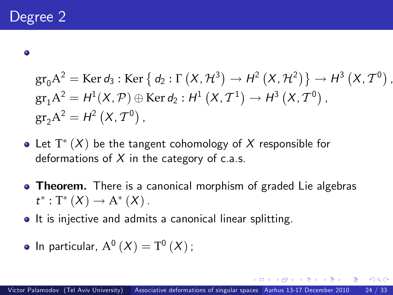$\bullet$ 

$$
gr_0 A^2 = \text{Ker } d_3: \text{Ker } \{ d_2: \Gamma(X, \mathcal{H}^3) \to \mathcal{H}^2(X, \mathcal{H}^2) \} \to \mathcal{H}^3(X, \mathcal{T}^0),
$$
  
\n
$$
gr_1 A^2 = \mathcal{H}^1(X, \mathcal{P}) \oplus \text{Ker } d_2: \mathcal{H}^1(X, \mathcal{T}^1) \to \mathcal{H}^3(X, \mathcal{T}^0),
$$
  
\n
$$
gr_2 A^2 = \mathcal{H}^2(X, \mathcal{T}^0),
$$

- Let  $\mathrm{T}^*(X)$  be the tangent cohomology of  $X$  responsible for deformations of  $X$  in the category of c.a.s.
- **Theorem.** There is a canonical morphism of graded Lie algebras  $t^*: T^*(X) \to A^*(X)$ .
- It is injective and admits a canonical linear splitting.

• In particular, 
$$
A^0(X) = T^0(X)
$$
;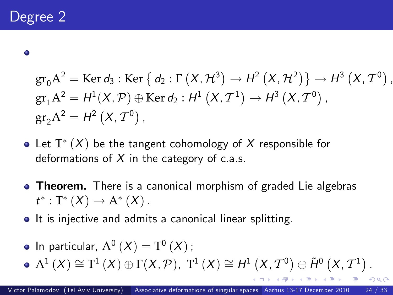$\bullet$ 

$$
gr_0 A^2 = \text{Ker } d_3: \text{Ker } \{ d_2: \Gamma(X, \mathcal{H}^3) \to \mathcal{H}^2(X, \mathcal{H}^2) \} \to \mathcal{H}^3(X, \mathcal{T}^0),
$$
  
\n
$$
gr_1 A^2 = \mathcal{H}^1(X, \mathcal{P}) \oplus \text{Ker } d_2: \mathcal{H}^1(X, \mathcal{T}^1) \to \mathcal{H}^3(X, \mathcal{T}^0),
$$
  
\n
$$
gr_2 A^2 = \mathcal{H}^2(X, \mathcal{T}^0),
$$

- Let  $\mathrm{T}^*(X)$  be the tangent cohomology of  $X$  responsible for deformations of  $X$  in the category of c.a.s.
- **Theorem.** There is a canonical morphism of graded Lie algebras  $t^*: T^*(X) \to A^*(X)$ .
- It is injective and admits a canonical linear splitting.
- In particular,  $\mathrm{A}^0\left(X\right)=\mathrm{T}^0\left(X\right)$  ;
- $A^{1}(X) \cong T^{1}(X) \oplus \Gamma(X, \mathcal{P}), T^{1}(X) \cong H^{1}(X, \mathcal{T}^{0}) \oplus \tilde{H}^{0}(X, \mathcal{T}^{1}).$  $A^{1}(X) \cong T^{1}(X) \oplus \Gamma(X, \mathcal{P}), T^{1}(X) \cong H^{1}(X, \mathcal{T}^{0}) \oplus \tilde{H}^{0}(X, \mathcal{T}^{1}).$  $A^{1}(X) \cong T^{1}(X) \oplus \Gamma(X, \mathcal{P}), T^{1}(X) \cong H^{1}(X, \mathcal{T}^{0}) \oplus \tilde{H}^{0}(X, \mathcal{T}^{1}).$

 $QQ$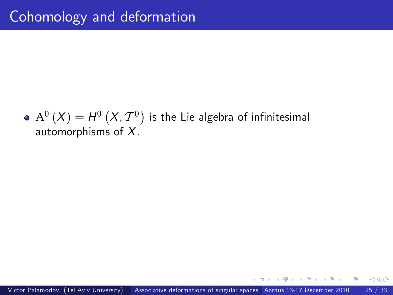$\mathrm{A}^{0}\left( X\right) =H^{0}\left( X,\mathcal{T}^{0}\right)$  is the Lie algebra of infinitesimal automorphisms of X.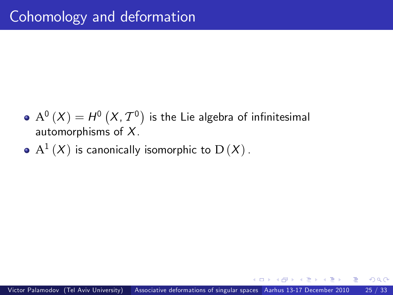- $\mathrm{A}^{0}\left( X\right) =H^{0}\left( X,\mathcal{T}^{0}\right)$  is the Lie algebra of infinitesimal automorphisms of X.
- $\mathrm{A}^{1}\left( X\right)$  is canonically isomorphic to  $\mathrm{D}\left( X\right)$  .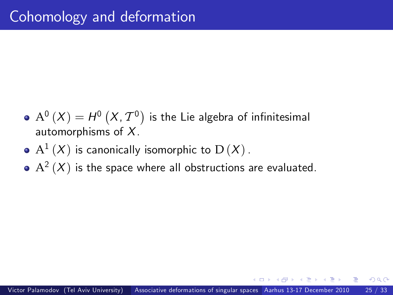- $\mathrm{A}^{0}\left( X\right) =H^{0}\left( X,\mathcal{T}^{0}\right)$  is the Lie algebra of infinitesimal automorphisms of X.
- $\mathrm{A}^{1}\left( X\right)$  is canonically isomorphic to  $\mathrm{D}\left( X\right)$  .
- $\mathrm{A}^{2}\left( X\right)$  is the space where all obstructions are evaluated.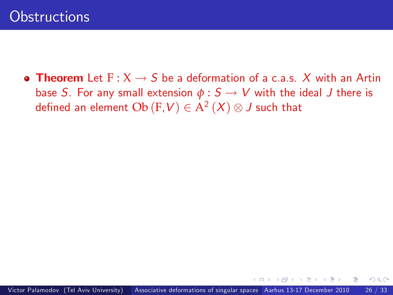• Theorem Let  $F: X \rightarrow S$  be a deformation of a c.a.s. X with an Artin base S. For any small extension  $\phi : S \rightarrow V$  with the ideal J there is defined an element  $\mathrm{Ob}\left(\overline{\mathrm{F}},\overline{\mathrm{V}}\right)\in \mathrm{A}^{2}\left(X\right)\otimes\overline{\mathrm{J}}$  such that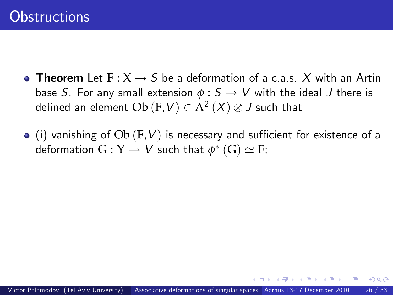- Theorem Let  $F: X \rightarrow S$  be a deformation of a c.a.s. X with an Artin base S. For any small extension  $\phi : S \to V$  with the ideal J there is defined an element  $\mathrm{Ob}\left(\mathrm{F},\mathsf{V}\right)\in \mathrm{A}^{2}\left(X\right)\otimes\mathsf{J}$  such that
- $\bullet$  (i) vanishing of  $Ob$  (F, V) is necessary and sufficient for existence of a deformation  $G:Y\to V$  such that  $\phi^*\left(G\right)\simeq F;$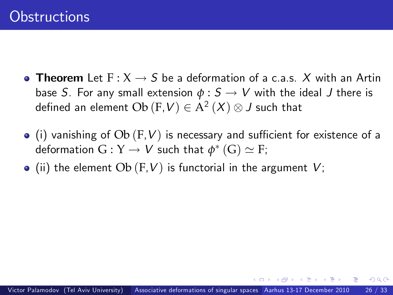- Theorem Let  $F: X \rightarrow S$  be a deformation of a c.a.s. X with an Artin base S. For any small extension  $\phi : S \to V$  with the ideal J there is defined an element  $\mathrm{Ob}\left(\mathrm{F},\mathsf{V}\right)\in \mathrm{A}^{2}\left(X\right)\otimes\mathsf{J}$  such that
- $\bullet$  (i) vanishing of  $Ob$  (F, V) is necessary and sufficient for existence of a deformation  $G:Y\to V$  such that  $\phi^*\left(G\right)\simeq F;$
- $\bullet$  (ii) the element Ob (F, V) is functorial in the argument V;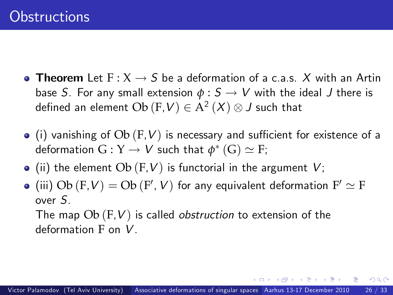- Theorem Let  $F: X \rightarrow S$  be a deformation of a c.a.s. X with an Artin base S. For any small extension  $\phi : S \to V$  with the ideal J there is defined an element  $\mathrm{Ob}\left(\mathrm{F},\mathsf{V}\right)\in \mathrm{A}^{2}\left(X\right)\otimes\mathsf{J}$  such that
- $\bullet$  (i) vanishing of  $Ob$  (F, V) is necessary and sufficient for existence of a deformation  $G:Y\to V$  such that  $\phi^*\left(G\right)\simeq F;$
- $\bullet$  (ii) the element Ob (F, V) is functorial in the argument V;
- (iii)  $\mathrm{Ob}\,(\mathrm{F},V)=\mathrm{Ob}\,(\mathrm{F}',\,V)$  for any equivalent deformation  $\mathrm{F}'\simeq\mathrm{F}$ over S.

The map  $Ob(F, V)$  is called *obstruction* to extension of the deformation F on V.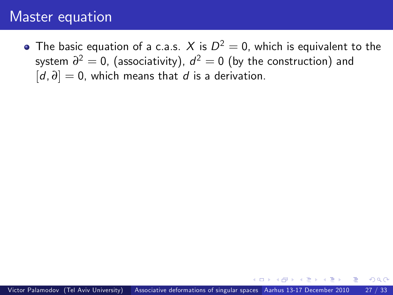### Master equation

The basic equation of a c.a.s.  $\,X$  is  $D^2=0,$  which is equivalent to the system  $\partial^2=0$ , (associativity),  $d^2=0$  (by the construction) and [d,  $\partial$ ] = 0, which means that d is a derivation.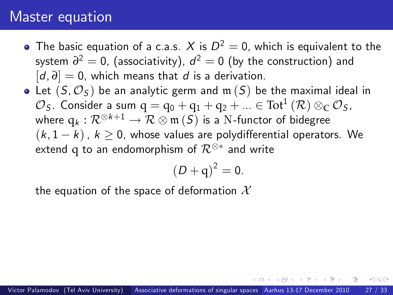### Master equation

- The basic equation of a c.a.s.  $\,X$  is  $D^2=0,$  which is equivalent to the system  $\partial^2=0$ , (associativity),  $d^2=0$  (by the construction) and [d, *∂*] = 0, which means that d is a derivation.
- Let  $(S, \mathcal{O}_S)$  be an analytic germ and  $\mathfrak{m}(S)$  be the maximal ideal in  $\mathcal{O}_S$ . Consider a sum  $q = q_0 + q_1 + q_2 + ... \in \text{Tot}^1(\mathcal{R}) \otimes_{\mathbb{C}} \mathcal{O}_S$ , where  $\mathrm{q}_{k}: \mathcal{R}^{\otimes k+1} \rightarrow \mathcal{R} \otimes \mathfrak{m}\left( S \right)$  is a N-functor of bidegree  $(k, 1 - k)$ ,  $k > 0$ , whose values are polydifferential operators. We extend  $\bm{\mathsf{q}}$  to an endomorphism of  $\mathcal{R}^{\otimes *}$  and write

<span id="page-98-0"></span>
$$
\left( D+q\right) ^{2}=0.
$$

the equation of the space of deformation  $\mathcal{X}$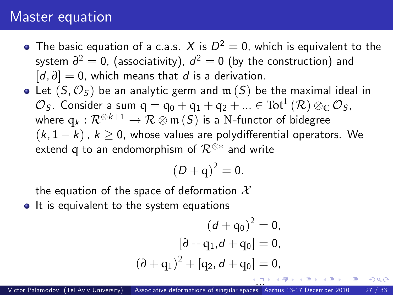#### Master equation

- The basic equation of a c.a.s.  $\,X$  is  $D^2=0,$  which is equivalent to the system  $\partial^2=0$ , (associativity),  $d^2=0$  (by the construction) and [d, *∂*] = 0, which means that d is a derivation.
- Let  $(S, \mathcal{O}_S)$  be an analytic germ and  $\mathfrak{m}(S)$  be the maximal ideal in  $\mathcal{O}_S$ . Consider a sum  $q = q_0 + q_1 + q_2 + ... \in \text{Tot}^1(\mathcal{R}) \otimes_{\mathbb{C}} \mathcal{O}_S$ , where  $\mathrm{q}_{k}: \mathcal{R}^{\otimes k+1} \rightarrow \mathcal{R} \otimes \mathfrak{m}\left( S \right)$  is a N-functor of bidegree  $(k, 1-k)$ ,  $k > 0$ , whose values are polydifferential operators. We extend  $\bm{\mathsf{q}}$  to an endomorphism of  $\mathcal{R}^{\otimes *}$  and write

$$
\left( D+q\right) ^{2}=0.
$$

the equation of the space of deformation  $\mathcal{X}$ 

• It is equivalent to the system equations

$$
(d+q_0)^2 = 0,
$$
  
\n
$$
[\partial + q_1, d + q_0] = 0,
$$
  
\n
$$
(\partial + q_1)^2 + [q_2, d + q_0] = 0,
$$

<span id="page-99-0"></span>つひひ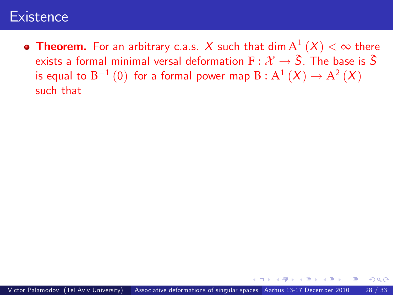<span id="page-100-0"></span>**Theorem.** For an arbitrary c.a.s.  $X$  such that  $\mathop{\sf dim}\nolimits{\rm A}^1\left(X\right)<\infty$  there exists a formal minimal versal deformation  $F: \mathcal{X} \to \tilde{S}$ . The base is  $\tilde{S}$ is equal to  $B^{-1}(0)$  for a formal power map  $B : A^1(X) \to A^2(X)$ such that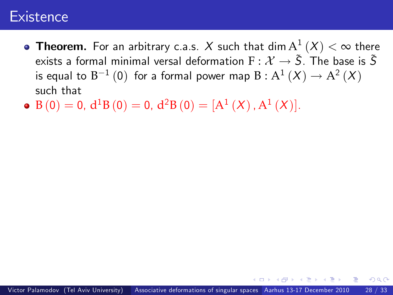- **Theorem.** For an arbitrary c.a.s.  $X$  such that  $\dim\operatorname{A}^1\left(X\right)<\infty$  there exists a formal minimal versal deformation  $F:\mathcal{X}\rightarrow \tilde{S}$ . The base is  $\tilde{S}$ is equal to  $B^{-1}(0)$  for a formal power map  $B : A^1(X) \to A^2(X)$ such that
- $\mathrm{B}\left( 0\right) =0,\,\mathrm{d}^{1}\mathrm{B}\left( 0\right) =0,\,\mathrm{d}^{2}\mathrm{B}\left( 0\right) =[\mathrm{A}^{1}\left( X\right) ,\mathrm{A}^{1}\left( X\right) ].$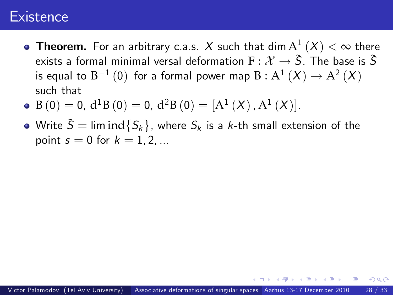- **Theorem.** For an arbitrary c.a.s.  $X$  such that  $\dim\operatorname{A}^1\left(X\right)<\infty$  there exists a formal minimal versal deformation  $F: \mathcal{X} \to \tilde{S}$ . The base is  $\tilde{S}$ is equal to  $B^{-1}(0)$  for a formal power map  $B : A^1(X) \to A^2(X)$ such that
- $\mathrm{B}\left( 0\right) =0,\,\mathrm{d}^{1}\mathrm{B}\left( 0\right) =0,\,\mathrm{d}^{2}\mathrm{B}\left( 0\right) =[\mathrm{A}^{1}\left( X\right) ,\mathrm{A}^{1}\left( X\right) ].$
- Write  $\tilde{S} = \liminf \{ S_k \}$ , where  $S_k$  is a k-th small extension of the point  $s = 0$  for  $k = 1, 2, ...$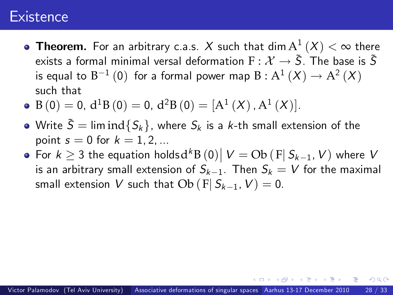- **Theorem.** For an arbitrary c.a.s.  $X$  such that  $\dim\operatorname{A}^1\left(X\right)<\infty$  there exists a formal minimal versal deformation  $F: \mathcal{X} \to \tilde{S}$ . The base is  $\tilde{S}$ is equal to  $B^{-1}(0)$  for a formal power map  $B : A^1(X) \to A^2(X)$ such that
- $\mathrm{B}\left( 0\right) =0,\,\mathrm{d}^{1}\mathrm{B}\left( 0\right) =0,\,\mathrm{d}^{2}\mathrm{B}\left( 0\right) =[\mathrm{A}^{1}\left( X\right) ,\mathrm{A}^{1}\left( X\right) ].$
- Write  $\tilde{S} = \liminf \{ S_k \}$ , where  $S_k$  is a k-th small extension of the point  $s = 0$  for  $k = 1, 2, ...$
- For  $k \geq 3$  the equation holds $d^k B(0) | V = Ob (F | S_{k-1}, V)$  where  $V$ is an arbitrary small extension of  $S_{k-1}$ . Then  $S_k = V$  for the maximal small extension V such that  $Ob (F | S_{k-1}, V) = 0$ .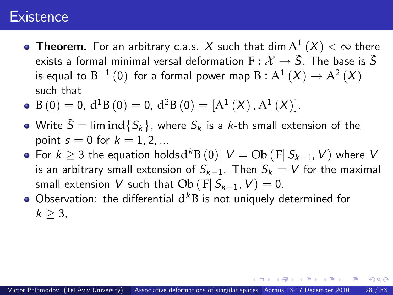- **Theorem.** For an arbitrary c.a.s.  $X$  such that  $\dim\operatorname{A}^1\left(X\right)<\infty$  there exists a formal minimal versal deformation  $F: \mathcal{X} \to \tilde{S}$ . The base is  $\tilde{S}$ is equal to  $B^{-1}(0)$  for a formal power map  $B : A^1(X) \to A^2(X)$ such that
- $\mathrm{B}\left( 0\right) =0,\,\mathrm{d}^{1}\mathrm{B}\left( 0\right) =0,\,\mathrm{d}^{2}\mathrm{B}\left( 0\right) =[\mathrm{A}^{1}\left( X\right) ,\mathrm{A}^{1}\left( X\right) ].$
- Write  $\tilde{S} = \liminf \{ S_k \}$ , where  $S_k$  is a k-th small extension of the point  $s = 0$  for  $k = 1, 2, ...$
- For  $k \geq 3$  the equation holds $d^k B(0) | V = Ob (F | S_{k-1}, V)$  where  $V$ is an arbitrary small extension of  $S_{k-1}$ . Then  $S_k = V$  for the maximal small extension V such that  $Ob (F | S_{k-1}, V) = 0$ .
- Observation: the differential  $d^k B$  is not uniquely determined for  $k > 3$ .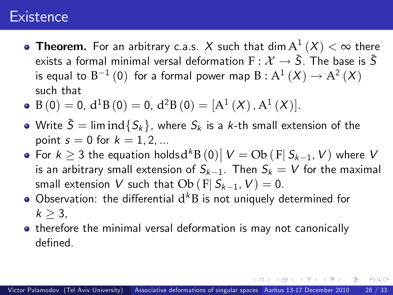- **Theorem.** For an arbitrary c.a.s.  $X$  such that  $\dim\operatorname{A}^1\left(X\right)<\infty$  there exists a formal minimal versal deformation  $F: \mathcal{X} \to \tilde{S}$ . The base is  $\tilde{S}$ is equal to  $B^{-1}(0)$  for a formal power map  $B : A^1(X) \to A^2(X)$ such that
- $\mathrm{B}\left( 0\right) =0,\,\mathrm{d}^{1}\mathrm{B}\left( 0\right) =0,\,\mathrm{d}^{2}\mathrm{B}\left( 0\right) =[\mathrm{A}^{1}\left( X\right) ,\mathrm{A}^{1}\left( X\right) ].$
- Write  $\tilde{S} = \liminf \{ S_k \}$ , where  $S_k$  is a k-th small extension of the point  $s = 0$  for  $k = 1, 2, ...$
- For  $k \geq 3$  the equation holds $d^k B(0) | V = Ob (F | S_{k-1}, V)$  where  $V$ is an arbitrary small extension of  $S_{k-1}$ . Then  $S_k = V$  for the maximal small extension V such that  $Ob (F | S_{k-1}, V) = 0$ .
- Observation: the differential  $d^k B$  is not uniquely determined for  $k > 3$ .
- <span id="page-105-0"></span>**•** therefore the minimal versal deformation is may not canonically defined.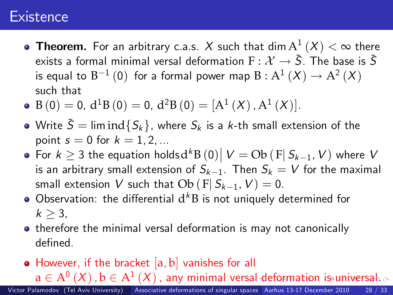- **Theorem.** For an arbitrary c.a.s.  $X$  such that  $\dim\operatorname{A}^1\left(X\right)<\infty$  there exists a formal minimal versal deformation  $F: \mathcal{X} \to \tilde{S}$ . The base is  $\tilde{S}$ is equal to  $B^{-1}(0)$  for a formal power map  $B : A^1(X) \to A^2(X)$ such that
- $\mathrm{B}\left( 0\right) =0,\,\mathrm{d}^{1}\mathrm{B}\left( 0\right) =0,\,\mathrm{d}^{2}\mathrm{B}\left( 0\right) =[\mathrm{A}^{1}\left( X\right) ,\mathrm{A}^{1}\left( X\right) ].$
- Write  $\tilde{S} = \liminf \{ S_k \}$ , where  $S_k$  is a k-th small extension of the point  $s = 0$  for  $k = 1, 2, ...$
- For  $k \geq 3$  the equation holds $d^k B(0) | V = Ob (F | S_{k-1}, V)$  where  $V$ is an arbitrary small extension of  $S_{k-1}$ . Then  $S_k = V$  for the maximal small extension V such that  $Ob (F | S_{k-1}, V) = 0$ .
- Observation: the differential  $d^k B$  is not uniquely determined for  $k > 3$ .
- **•** therefore the minimal versal deformation is may not canonically defined.
- <span id="page-106-0"></span> $\bullet$  However, if the bracket  $[a, b]$  vanishes for all

 $a\in A^{0}\left( X\right)$  $a\in A^{0}\left( X\right)$  $a\in A^{0}\left( X\right)$  $a\in A^{0}\left( X\right)$ ,  $b\in A^{1}\left( X\right)$  $b\in A^{1}\left( X\right)$  $b\in A^{1}\left( X\right)$  , any minim[al](#page-105-0) versal [de](#page-107-0)[fo](#page-99-0)r[m](#page-107-0)[at](#page-99-0)i[o](#page-106-0)n [i](#page-99-0)[s](#page-100-0) [u](#page-107-0)[niv](#page-0-0)[ers](#page-114-0)al.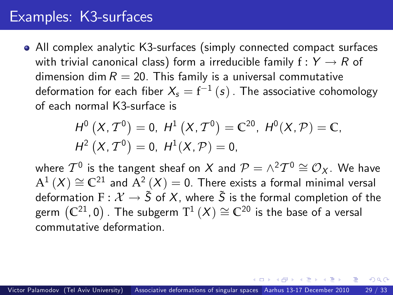### Examples: K3-surfaces

All complex analytic K3-surfaces (simply connected compact surfaces with trivial canonical class) form a irreducible family  $f: Y \rightarrow R$  of dimension dim  $R = 20$ . This family is a universal commutative deformation for each fiber  $\mathcal{X}_{\mathsf{s}}=\mathsf{f}^{-1}\left( \mathsf{s}\right)$  . The associative cohomology of each normal K3-surface is

<span id="page-107-0"></span>
$$
H^{0}(X, \mathcal{T}^{0}) = 0, H^{1}(X, \mathcal{T}^{0}) = \mathbb{C}^{20}, H^{0}(X, \mathcal{P}) = \mathbb{C},
$$
  

$$
H^{2}(X, \mathcal{T}^{0}) = 0, H^{1}(X, \mathcal{P}) = 0,
$$

where  $T^0$  is the tangent sheaf on  $X$  and  $\mathcal{P} = \wedge^2 T^0 \cong \mathcal{O}_X$ . We have  $\mathrm{A}^{1}\left(X\right)\cong\mathbb{C}^{21}$  and  $\mathrm{A}^{2}\left(X\right)=0.$  There exists a formal minimal versal deformation F :  $\mathcal{X} \rightarrow \tilde{S}$  of X, where  $\tilde{S}$  is the formal completion of the germ  $\left(\mathbb{C}^{21},0\right)$  . The subgerm  $\text{T}^1\left(X\right)\cong\mathbb{C}^{20}$  is the base of a versal commutative deformation.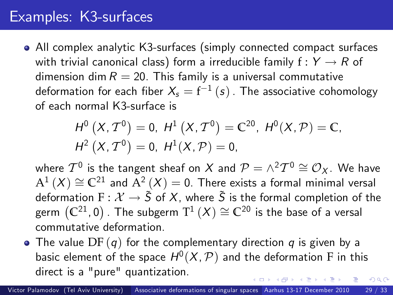## Examples: K3-surfaces

All complex analytic K3-surfaces (simply connected compact surfaces with trivial canonical class) form a irreducible family  $f: Y \rightarrow R$  of dimension dim  $R = 20$ . This family is a universal commutative deformation for each fiber  $\mathcal{X}_{\mathsf{s}}=\mathsf{f}^{-1}\left( \mathsf{s}\right)$  . The associative cohomology of each normal K3-surface is

<span id="page-108-0"></span>
$$
H^{0}(X, \mathcal{T}^{0}) = 0, H^{1}(X, \mathcal{T}^{0}) = \mathbb{C}^{20}, H^{0}(X, \mathcal{P}) = \mathbb{C},
$$
  

$$
H^{2}(X, \mathcal{T}^{0}) = 0, H^{1}(X, \mathcal{P}) = 0,
$$

where  $T^0$  is the tangent sheaf on  $X$  and  $\mathcal{P} = \wedge^2 T^0 \cong \mathcal{O}_X$ . We have  $\mathrm{A}^{1}\left(X\right)\cong\mathbb{C}^{21}$  and  $\mathrm{A}^{2}\left(X\right)=0.$  There exists a formal minimal versal deformation F :  $\mathcal{X} \rightarrow \tilde{S}$  of X, where  $\tilde{S}$  is the formal completion of the germ  $\left(\mathbb{C}^{21},0\right)$  . The subgerm  $\text{T}^1\left(X\right)\cong\mathbb{C}^{20}$  is the base of a versal commutative deformation.

• The value  $DF(q)$  for the complementary direction q is given by a basic element of the space  $H^0(X,\mathcal{P})$  and the deformation F in this direct is a "pure" quantization.  $\Omega$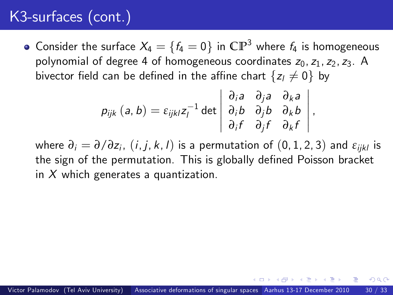## K3-surfaces (cont.)

• Consider the surface  $X_4 = \{f_4 = 0\}$  in  $\mathbb{CP}^3$  where  $f_4$  is homogeneous polynomial of degree 4 of homogeneous coordinates  $z_0$ ,  $z_1$ ,  $z_2$ ,  $z_3$ . A bivector field can be defined in the affine chart  $\{z_i \neq 0\}$  by

$$
p_{ijk} (a, b) = \varepsilon_{ijkl} z_l^{-1} \det \begin{vmatrix} \frac{\partial}{\partial a} & \frac{\partial}{\partial a} & \frac{\partial}{\partial a} \\ \frac{\partial}{\partial b} & \frac{\partial}{\partial b} & \frac{\partial}{\partial b} \\ \frac{\partial}{\partial t} & \frac{\partial}{\partial t} & \frac{\partial}{\partial t} \end{vmatrix},
$$

where *∂*<sup>i</sup> = *∂*/*∂*z<sup>i</sup> , (i, j, k, l) is a permutation of (0, 1, 2, 3) and *ε*ijkl is the sign of the permutation. This is globally defined Poisson bracket in  $X$  which generates a quantization.

<span id="page-109-0"></span> $\Omega$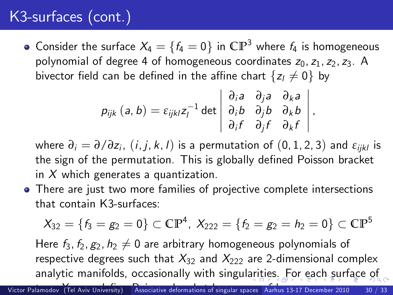## K3-surfaces (cont.)

• Consider the surface  $X_4 = \{f_4 = 0\}$  in  $\mathbb{CP}^3$  where  $f_4$  is homogeneous polynomial of degree 4 of homogeneous coordinates  $z_0$ ,  $z_1$ ,  $z_2$ ,  $z_3$ . A bivector field can be defined in the affine chart  $\{z_1 \neq 0\}$  by

$$
p_{ijk} (a, b) = \varepsilon_{ijkl} z_l^{-1} \det \begin{vmatrix} \frac{\partial}{\partial a} & \frac{\partial}{\partial a} & \frac{\partial}{\partial a} \\ \frac{\partial}{\partial b} & \frac{\partial}{\partial b} & \frac{\partial}{\partial b} \\ \frac{\partial}{\partial t} & \frac{\partial}{\partial t} & \frac{\partial}{\partial t} \end{vmatrix},
$$

where *∂*<sup>i</sup> = *∂*/*∂*z<sup>i</sup> , (i, j, k, l) is a permutation of (0, 1, 2, 3) and *ε*ijkl is the sign of the permutation. This is globally defined Poisson bracket in  $X$  which generates a quantization.

• There are just two more families of projective complete intersections that contain K3-surfaces:

<span id="page-110-0"></span>
$$
X_{32} = \{f_3 = g_2 = 0\} \subset \mathbb{CP}^4, \ X_{222} = \{f_2 = g_2 = h_2 = 0\} \subset \mathbb{CP}^5
$$

Here  $f_3, f_2, g_2, h_2 \neq 0$  are arbitrary homogeneous polynomials of respective degrees such that  $X_{32}$  and  $X_{222}$  are 2-dimensional complex analytic manifolds, occasionally with singul[ari](#page-109-0)t[ie](#page-111-0)[s.](#page-108-0) [F](#page-110-0)[o](#page-111-0)[r](#page-106-0) [e](#page-107-0)[ac](#page-114-0)[h](#page-106-0)[sur](#page-114-0)[fa](#page-0-0)[ce](#page-114-0) of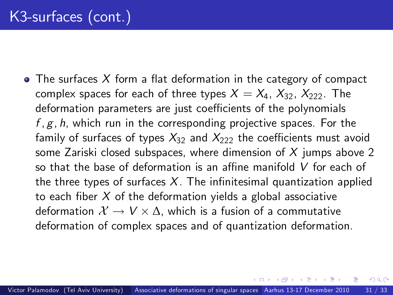$\bullet$  The surfaces X form a flat deformation in the category of compact complex spaces for each of three types  $X = X_4, X_{32}, X_{222}$ . The deformation parameters are just coefficients of the polynomials  $f, g, h$ , which run in the corresponding projective spaces. For the family of surfaces of types  $X_{32}$  and  $X_{222}$  the coefficients must avoid some Zariski closed subspaces, where dimension of  $X$  jumps above 2 so that the base of deformation is an affine manifold  $V$  for each of the three types of surfaces  $X$ . The infinitesimal quantization applied to each fiber  $X$  of the deformation yields a global associative deformation  $\mathcal{X} \to V \times \Delta$ , which is a fusion of a commutative deformation of complex spaces and of quantization deformation.

<span id="page-111-0"></span> $200$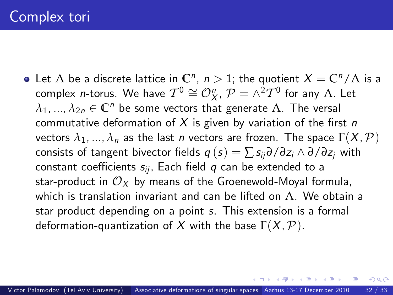Let  $\Lambda$  be a discrete lattice in  $\mathbb{C}^n$ ,  $n>1$ ; the quotient  $X=\mathbb{C}^n/\Lambda$  is a complex *n*-torus. We have  $\mathcal{T}^{0}\cong\mathcal{O}_{X}^{n},$   $\mathcal{P}=\wedge^{2}\mathcal{T}^{0}$  for any  $\Lambda.$  Let  $\lambda_1, ..., \lambda_{2n} \in \mathbb{C}^n$  be some vectors that generate  $\Lambda$ . The versal commutative deformation of X is given by variation of the first n vectors  $\lambda_1, ..., \lambda_n$  as the last *n* vectors are frozen. The space  $\Gamma(X, \mathcal{P})$ consists of tangent bivector fields  $q(s) = \sum s_{ij} \partial / \partial z_i \wedge \partial / \partial z_j$  with constant coefficients  $s_{ii}$ , Each field q can be extended to a star-product in  $\mathcal{O}_X$  by means of the Groenewold-Moyal formula, which is translation invariant and can be lifted on  $\Lambda$ . We obtain a star product depending on a point s. This extension is a formal deformation-quantization of X with the base  $\Gamma(X,\mathcal{P})$ .

 $200$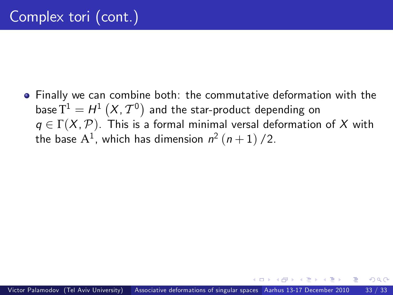Finally we can combine both: the commutative deformation with the base  $\overline{T}^1 = H^1\left(X, \mathcal{T}^0\right)$  and the star-product depending on  $q \in \Gamma(X, \mathcal{P})$ . This is a formal minimal versal deformation of X with the base  $\mathrm{A}^1$ , which has dimension  $\mathsf{n}^2\left(\mathsf{n}+1\right)/2.$ 

つひひ